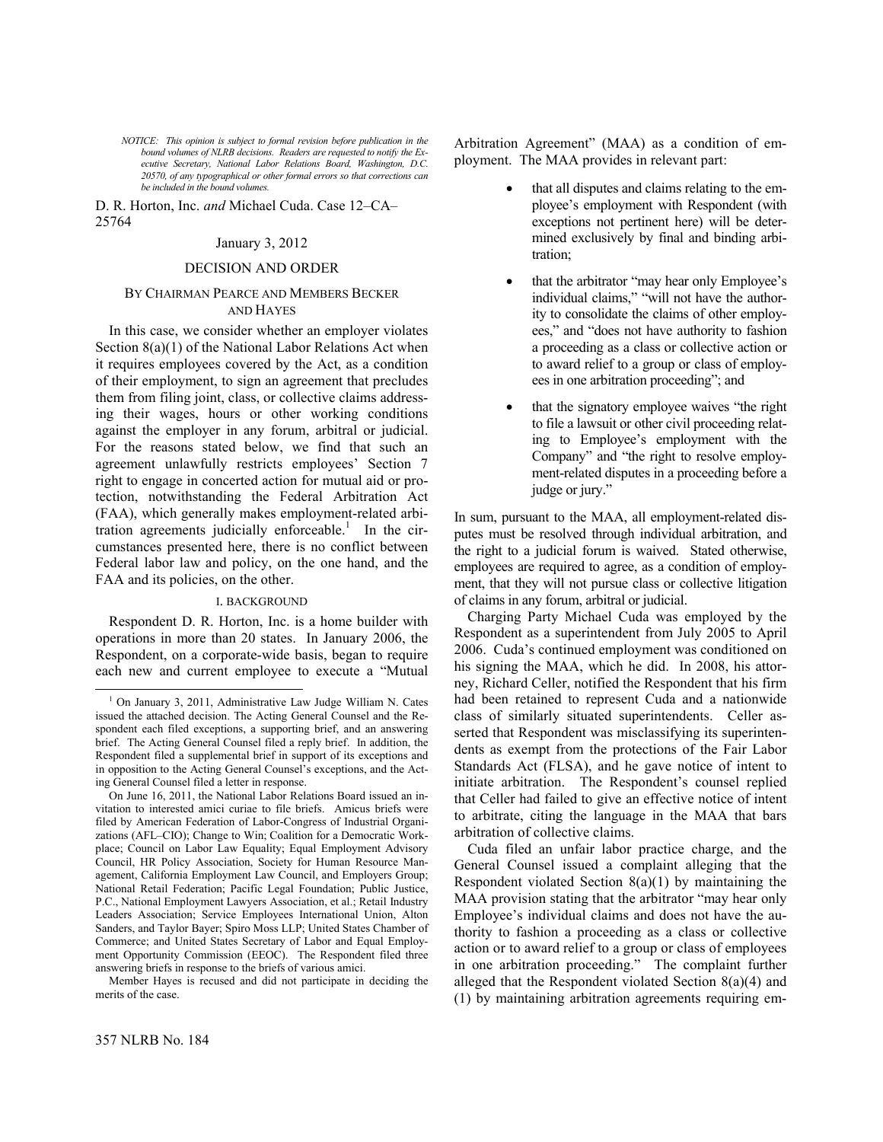*NOTICE: This opinion is subject to formal revision before publication in the bound volumes of NLRB decisions. Readers are requested to notify the Executive Secretary, National Labor Relations Board, Washington, D.C. 20570, of any typographical or other formal errors so that corrections can be included in the bound volumes.*

D. R. Horton, Inc. *and* Michael Cuda. Case 12–CA– 25764

### January 3, 2012

## DECISION AND ORDER

## BY CHAIRMAN PEARCE AND MEMBERS BECKER AND HAYES

In this case, we consider whether an employer violates Section 8(a)(1) of the National Labor Relations Act when it requires employees covered by the Act, as a condition of their employment, to sign an agreement that precludes them from filing joint, class, or collective claims addressing their wages, hours or other working conditions against the employer in any forum, arbitral or judicial. For the reasons stated below, we find that such an agreement unlawfully restricts employees' Section 7 right to engage in concerted action for mutual aid or protection, notwithstanding the Federal Arbitration Act (FAA), which generally makes employment-related arbitrationagreements judicially enforceable.<sup>1</sup> In the circumstances presented here, there is no conflict between Federal labor law and policy, on the one hand, and the FAA and its policies, on the other.

### I. BACKGROUND

Respondent D. R. Horton, Inc. is a home builder with operations in more than 20 states. In January 2006, the Respondent, on a corporate-wide basis, began to require each new and current employee to execute a "Mutual

Member Hayes is recused and did not participate in deciding the merits of the case.

Arbitration Agreement" (MAA) as a condition of employment. The MAA provides in relevant part:

- that all disputes and claims relating to the employee's employment with Respondent (with exceptions not pertinent here) will be determined exclusively by final and binding arbitration;
- that the arbitrator "may hear only Employee's individual claims," "will not have the authority to consolidate the claims of other employees," and "does not have authority to fashion a proceeding as a class or collective action or to award relief to a group or class of employees in one arbitration proceeding"; and
- that the signatory employee waives "the right to file a lawsuit or other civil proceeding relating to Employee's employment with the Company" and "the right to resolve employment-related disputes in a proceeding before a judge or jury."

In sum, pursuant to the MAA, all employment-related disputes must be resolved through individual arbitration, and the right to a judicial forum is waived. Stated otherwise, employees are required to agree, as a condition of employment, that they will not pursue class or collective litigation of claims in any forum, arbitral or judicial.

Charging Party Michael Cuda was employed by the Respondent as a superintendent from July 2005 to April 2006. Cuda's continued employment was conditioned on his signing the MAA, which he did. In 2008, his attorney, Richard Celler, notified the Respondent that his firm had been retained to represent Cuda and a nationwide class of similarly situated superintendents. Celler asserted that Respondent was misclassifying its superintendents as exempt from the protections of the Fair Labor Standards Act (FLSA), and he gave notice of intent to initiate arbitration. The Respondent's counsel replied that Celler had failed to give an effective notice of intent to arbitrate, citing the language in the MAA that bars arbitration of collective claims.

Cuda filed an unfair labor practice charge, and the General Counsel issued a complaint alleging that the Respondent violated Section 8(a)(1) by maintaining the MAA provision stating that the arbitrator "may hear only Employee's individual claims and does not have the authority to fashion a proceeding as a class or collective action or to award relief to a group or class of employees in one arbitration proceeding." The complaint further alleged that the Respondent violated Section 8(a)(4) and (1) by maintaining arbitration agreements requiring em-

-

<span id="page-0-0"></span><sup>&</sup>lt;sup>1</sup> On January 3, 2011, Administrative Law Judge William N. Cates issued the attached decision. The Acting General Counsel and the Respondent each filed exceptions, a supporting brief, and an answering brief. The Acting General Counsel filed a reply brief. In addition, the Respondent filed a supplemental brief in support of its exceptions and in opposition to the Acting General Counsel's exceptions, and the Acting General Counsel filed a letter in response.

On June 16, 2011, the National Labor Relations Board issued an invitation to interested amici curiae to file briefs. Amicus briefs were filed by American Federation of Labor-Congress of Industrial Organizations (AFL–CIO); Change to Win; Coalition for a Democratic Workplace; Council on Labor Law Equality; Equal Employment Advisory Council, HR Policy Association, Society for Human Resource Management, California Employment Law Council, and Employers Group; National Retail Federation; Pacific Legal Foundation; Public Justice, P.C., National Employment Lawyers Association, et al.; Retail Industry Leaders Association; Service Employees International Union, Alton Sanders, and Taylor Bayer; Spiro Moss LLP; United States Chamber of Commerce; and United States Secretary of Labor and Equal Employment Opportunity Commission (EEOC). The Respondent filed three answering briefs in response to the briefs of various amici.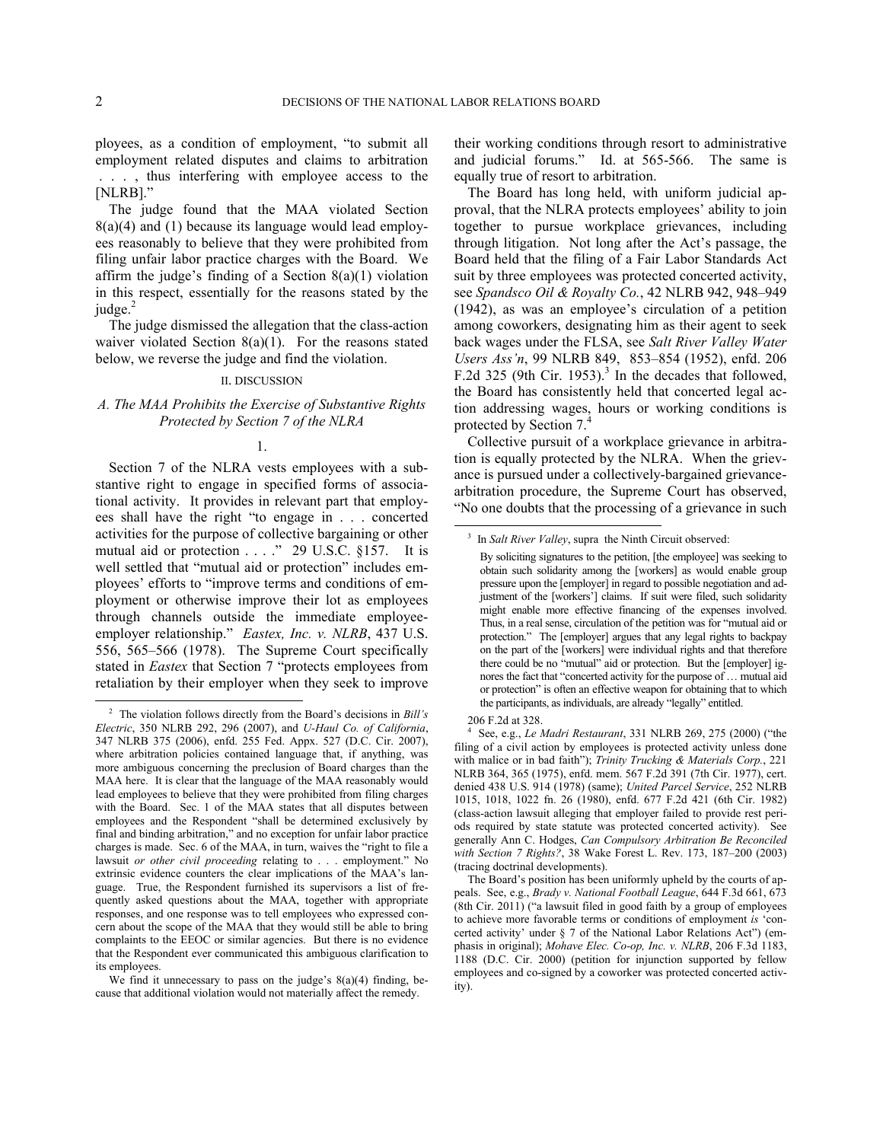ployees, as a condition of employment, "to submit all employment related disputes and claims to arbitration . . . , thus interfering with employee access to the [NLRB]."

The judge found that the MAA violated Section 8(a)(4) and (1) because its language would lead employees reasonably to believe that they were prohibited from filing unfair labor practice charges with the Board. We affirm the judge's finding of a Section  $8(a)(1)$  violation in this respect, essentially for the reasons stated by the judge. $^{2}$  $^{2}$  $^{2}$ 

The judge dismissed the allegation that the class-action waiver violated Section 8(a)(1). For the reasons stated below, we reverse the judge and find the violation.

## II. DISCUSSION

# *A. The MAA Prohibits the Exercise of Substantive Rights Protected by Section 7 of the NLRA*

## 1.

<span id="page-1-1"></span>Section 7 of the NLRA vests employees with a substantive right to engage in specified forms of associational activity. It provides in relevant part that employees shall have the right "to engage in . . . concerted activities for the purpose of collective bargaining or other mutual aid or protection . . . ." 29 U.S.C. §157. It is well settled that "mutual aid or protection" includes employees' efforts to "improve terms and conditions of employment or otherwise improve their lot as employees through channels outside the immediate employeeemployer relationship." *Eastex, Inc. v. NLRB*, 437 U.S. 556, 565–566 (1978). The Supreme Court specifically stated in *Eastex* that Section 7 "protects employees from retaliation by their employer when they seek to improve

their working conditions through resort to administrative and judicial forums." Id. at 565-566. The same is equally true of resort to arbitration.

The Board has long held, with uniform judicial approval, that the NLRA protects employees' ability to join together to pursue workplace grievances, including through litigation. Not long after the Act's passage, the Board held that the filing of a Fair Labor Standards Act suit by three employees was protected concerted activity, see *Spandsco Oil & Royalty Co.*, 42 NLRB 942, 948–949 (1942), as was an employee's circulation of a petition among coworkers, designating him as their agent to seek back wages under the FLSA, see *Salt River Valley Water Users Ass'n*, 99 NLRB 849, 853–854 (1952), enfd. 206 F.2d [3](#page-1-1)25 (9th Cir. 1953).<sup>3</sup> In the decades that followed, the Board has consistently held that concerted legal action addressing wages, hours or working conditions is protected by Section 7.

Collective pursuit of a workplace grievance in arbitration is equally protected by the NLRA. When the grievance is pursued under a collectively-bargained grievancearbitration procedure, the Supreme Court has observed, "No one doubts that the processing of a grievance in such

 $\overline{a}$ 

4 See, e.g., *Le Madri Restaurant*, 331 NLRB 269, 275 (2000) ("the filing of a civil action by employees is protected activity unless done with malice or in bad faith"); *Trinity Trucking & Materials Corp.*, 221 NLRB 364, 365 (1975), enfd. mem. 567 F.2d 391 (7th Cir. 1977), cert. denied 438 U.S. 914 (1978) (same); *United Parcel Service*, 252 NLRB 1015, 1018, 1022 fn. 26 (1980), enfd. 677 F.2d 421 (6th Cir. 1982) (class-action lawsuit alleging that employer failed to provide rest periods required by state statute was protected concerted activity). See generally Ann C. Hodges, *Can Compulsory Arbitration Be Reconciled with Section 7 Rights?*, 38 Wake Forest L. Rev. 173, 187–200 (2003) (tracing doctrinal developments).

The Board's position has been uniformly upheld by the courts of appeals. See, e.g., *Brady v. National Football League*, 644 F.3d 661, 673 (8th Cir. 2011) ("a lawsuit filed in good faith by a group of employees to achieve more favorable terms or conditions of employment *is* 'concerted activity' under § 7 of the National Labor Relations Act") (emphasis in original); *Mohave Elec. Co-op, Inc. v. NLRB*, 206 F.3d 1183, 1188 (D.C. Cir. 2000) (petition for injunction supported by fellow employees and co-signed by a coworker was protected concerted activity).

 $\overline{a}$ 

<span id="page-1-2"></span><span id="page-1-0"></span><sup>2</sup> The violation follows directly from the Board's decisions in *Bill's Electric*, 350 NLRB 292, 296 (2007), and *U-Haul Co. of California*, 347 NLRB 375 (2006), enfd. 255 Fed. Appx. 527 (D.C. Cir. 2007), where arbitration policies contained language that, if anything, was more ambiguous concerning the preclusion of Board charges than the MAA here. It is clear that the language of the MAA reasonably would lead employees to believe that they were prohibited from filing charges with the Board. Sec. 1 of the MAA states that all disputes between employees and the Respondent "shall be determined exclusively by final and binding arbitration," and no exception for unfair labor practice charges is made. Sec. 6 of the MAA, in turn, waives the "right to file a lawsuit *or other civil proceeding* relating to . . . employment." No extrinsic evidence counters the clear implications of the MAA's language. True, the Respondent furnished its supervisors a list of frequently asked questions about the MAA, together with appropriate responses, and one response was to tell employees who expressed concern about the scope of the MAA that they would still be able to bring complaints to the EEOC or similar agencies. But there is no evidence that the Respondent ever communicated this ambiguous clarification to its employees.

We find it unnecessary to pass on the judge's  $8(a)(4)$  finding, because that additional violation would not materially affect the remedy.

<sup>&</sup>lt;sup>3</sup> In *Salt River Valley*, supra the Ninth Circuit observed:

By soliciting signatures to the petition, [the employee] was seeking to obtain such solidarity among the [workers] as would enable group pressure upon the [employer] in regard to possible negotiation and adjustment of the [workers'] claims. If suit were filed, such solidarity might enable more effective financing of the expenses involved. Thus, in a real sense, circulation of the petition was for "mutual aid or protection." The [employer] argues that any legal rights to backpay on the part of the [workers] were individual rights and that therefore there could be no "mutual" aid or protection. But the [employer] ignores the fact that "concerted activity for the purpose of … mutual aid or protection" is often an effective weapon for obtaining that to which the participants, as individuals, are already "legally" entitled.

<sup>206</sup> F.2d at 328.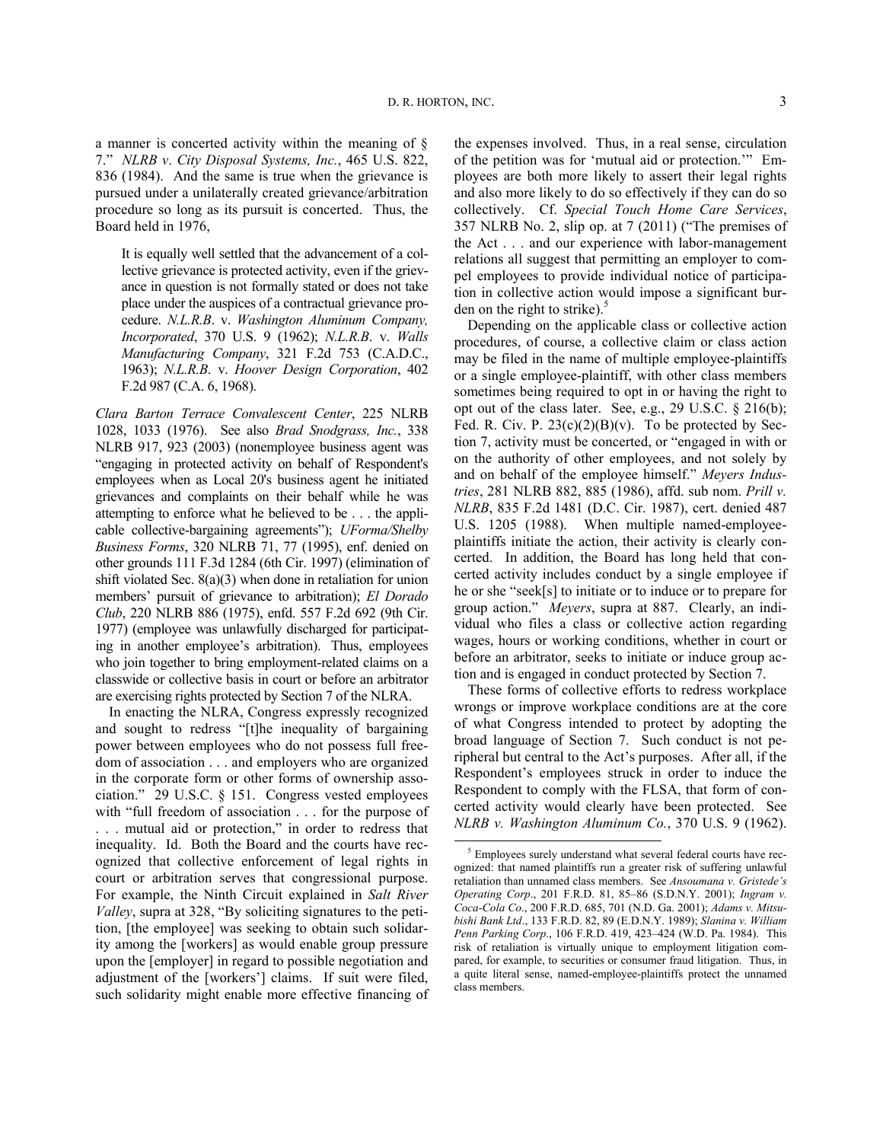a manner is concerted activity within the meaning of § 7." *NLRB v*. *City Disposal Systems, Inc.*, 465 U.S. 822, 836 (1984). And the same is true when the grievance is pursued under a unilaterally created grievance/arbitration procedure so long as its pursuit is concerted. Thus, the Board held in 1976,

It is equally well settled that the advancement of a collective grievance is protected activity, even if the grievance in question is not formally stated or does not take place under the auspices of a contractual grievance procedure. *N.L.R.B*. v. *[Washington Aluminum Company,](https://nlrbmail.nlrb.gov/owa/redir.aspx?C=b3d79b7a5e8449c79f5c0af800643a69&URL=https%3a%2f%2fweb2.westlaw.com%2ffind%2fdefault.wl%3fserialnum%3d1962127622%26tc%3d-1%26rp%3d%252ffind%252fdefault.wl%26sv%3dSplit%26rs%3dWLW11.10%26db%3d780%26tf%3d-1%26findtype%3dY%26fn%3d_top%26mt%3dWestlaw%26vr%3d2.0%26pbc%3d5550F95D%26ordoc%3d1976012063)  Incorporated*[, 370 U.S. 9 \(1962\);](https://nlrbmail.nlrb.gov/owa/redir.aspx?C=b3d79b7a5e8449c79f5c0af800643a69&URL=https%3a%2f%2fweb2.westlaw.com%2ffind%2fdefault.wl%3fserialnum%3d1962127622%26tc%3d-1%26rp%3d%252ffind%252fdefault.wl%26sv%3dSplit%26rs%3dWLW11.10%26db%3d780%26tf%3d-1%26findtype%3dY%26fn%3d_top%26mt%3dWestlaw%26vr%3d2.0%26pbc%3d5550F95D%26ordoc%3d1976012063) *[N.L.R.B](https://nlrbmail.nlrb.gov/owa/redir.aspx?C=b3d79b7a5e8449c79f5c0af800643a69&URL=https%3a%2f%2fweb2.westlaw.com%2ffind%2fdefault.wl%3fserialnum%3d1963115653%26tc%3d-1%26rp%3d%252ffind%252fdefault.wl%26sv%3dSplit%26rs%3dWLW11.10%26db%3d350%26tf%3d-1%26findtype%3dY%26fn%3d_top%26mt%3dWestlaw%26vr%3d2.0%26pbc%3d5550F95D%26ordoc%3d1976012063)*. v. *Walls Manufacturing Company*[, 321 F.2d 753 \(C.A.D.C.,](https://nlrbmail.nlrb.gov/owa/redir.aspx?C=b3d79b7a5e8449c79f5c0af800643a69&URL=https%3a%2f%2fweb2.westlaw.com%2ffind%2fdefault.wl%3fserialnum%3d1963115653%26tc%3d-1%26rp%3d%252ffind%252fdefault.wl%26sv%3dSplit%26rs%3dWLW11.10%26db%3d350%26tf%3d-1%26findtype%3dY%26fn%3d_top%26mt%3dWestlaw%26vr%3d2.0%26pbc%3d5550F95D%26ordoc%3d1976012063)  [1963\);](https://nlrbmail.nlrb.gov/owa/redir.aspx?C=b3d79b7a5e8449c79f5c0af800643a69&URL=https%3a%2f%2fweb2.westlaw.com%2ffind%2fdefault.wl%3fserialnum%3d1963115653%26tc%3d-1%26rp%3d%252ffind%252fdefault.wl%26sv%3dSplit%26rs%3dWLW11.10%26db%3d350%26tf%3d-1%26findtype%3dY%26fn%3d_top%26mt%3dWestlaw%26vr%3d2.0%26pbc%3d5550F95D%26ordoc%3d1976012063) *N.L.R.B*. v. *[Hoover Design Corporation](https://nlrbmail.nlrb.gov/owa/redir.aspx?C=b3d79b7a5e8449c79f5c0af800643a69&URL=https%3a%2f%2fweb2.westlaw.com%2ffind%2fdefault.wl%3fserialnum%3d1968119584%26tc%3d-1%26rp%3d%252ffind%252fdefault.wl%26sv%3dSplit%26rs%3dWLW11.10%26db%3d350%26tf%3d-1%26findtype%3dY%26fn%3d_top%26mt%3dWestlaw%26vr%3d2.0%26pbc%3d5550F95D%26ordoc%3d1976012063)*, 402 [F.2d 987 \(C.A. 6, 1968\).](https://nlrbmail.nlrb.gov/owa/redir.aspx?C=b3d79b7a5e8449c79f5c0af800643a69&URL=https%3a%2f%2fweb2.westlaw.com%2ffind%2fdefault.wl%3fserialnum%3d1968119584%26tc%3d-1%26rp%3d%252ffind%252fdefault.wl%26sv%3dSplit%26rs%3dWLW11.10%26db%3d350%26tf%3d-1%26findtype%3dY%26fn%3d_top%26mt%3dWestlaw%26vr%3d2.0%26pbc%3d5550F95D%26ordoc%3d1976012063) 

*Clara Barton Terrace Convalescent Center*, 225 NLRB 1028, 1033 (1976). See also *Brad Snodgrass, Inc.*, 338 NLRB 917, 923 (2003) (nonemployee business agent was "engaging in protected activity on behalf of Respondent's employees when as Local 20's business agent he initiated grievances and complaints on their behalf while he was attempting to enforce what he believed to be . . . the applicable collective-bargaining agreements"); *UForma/Shelby Business Forms*, 320 NLRB 71, 77 (1995), enf. denied on other grounds 111 F.3d 1284 (6th Cir. 1997) (elimination of shift violated Sec. 8(a)(3) when done in retaliation for union members' pursuit of grievance to arbitration); *El Dorado Club*, 220 NLRB 886 (1975), enfd. 557 F.2d 692 (9th Cir. 1977) (employee was unlawfully discharged for participating in another employee's arbitration). Thus, employees who join together to bring employment-related claims on a classwide or collective basis in court or before an arbitrator are exercising rights protected by Section 7 of the NLRA.

<span id="page-2-0"></span>In enacting the NLRA, Congress expressly recognized and sought to redress "[t]he inequality of bargaining power between employees who do not possess full freedom of association . . . and employers who are organized in the corporate form or other forms of ownership association." 29 U.S.C. § 151. Congress vested employees with "full freedom of association . . . for the purpose of . . . mutual aid or protection," in order to redress that inequality. Id. Both the Board and the courts have recognized that collective enforcement of legal rights in court or arbitration serves that congressional purpose. For example, the Ninth Circuit explained in *Salt River Valley*, supra at 328, "By soliciting signatures to the petition, [the employee] was seeking to obtain such solidarity among the [workers] as would enable group pressure upon the [employer] in regard to possible negotiation and adjustment of the [workers'] claims. If suit were filed, such solidarity might enable more effective financing of the expenses involved. Thus, in a real sense, circulation of the petition was for 'mutual aid or protection.'" Employees are both more likely to assert their legal rights and also more likely to do so effectively if they can do so collectively. Cf. *Special Touch Home Care Services*, 357 NLRB No. 2, slip op. at 7 (2011) ("The premises of the Act . . . and our experience with labor-management relations all suggest that permitting an employer to compel employees to provide individual notice of participation in collective action would impose a significant burden on the right to strike). $5$ 

Depending on the applicable class or collective action procedures, of course, a collective claim or class action may be filed in the name of multiple employee-plaintiffs or a single employee-plaintiff, with other class members sometimes being required to opt in or having the right to opt out of the class later. See, e.g., 29 U.S.C. § 216(b); Fed. R. Civ. P.  $23(c)(2)(B)(v)$ . To be protected by Section 7, activity must be concerted, or "engaged in with or on the authority of other employees, and not solely by and on behalf of the employee himself." *Meyers Industries*, 281 NLRB 882, 885 (1986), affd. sub nom. *Prill v. NLRB*, 835 F.2d 1481 (D.C. Cir. 1987), cert. denied 487 U.S. 1205 (1988). When multiple named-employeeplaintiffs initiate the action, their activity is clearly concerted. In addition, the Board has long held that concerted activity includes conduct by a single employee if he or she "seek[s] to initiate or to induce or to prepare for group action." *Meyers*, supra at 887. Clearly, an individual who files a class or collective action regarding wages, hours or working conditions, whether in court or before an arbitrator, seeks to initiate or induce group action and is engaged in conduct protected by Section 7.

These forms of collective efforts to redress workplace wrongs or improve workplace conditions are at the core of what Congress intended to protect by adopting the broad language of Section 7. Such conduct is not peripheral but central to the Act's purposes. After all, if the Respondent's employees struck in order to induce the Respondent to comply with the FLSA, that form of concerted activity would clearly have been protected. See *NLRB v. Washington Aluminum Co.*, 370 U.S. 9 (1962).

<sup>&</sup>lt;sup>5</sup> Employees surely understand what several federal courts have recognized: that named plaintiffs run a greater risk of suffering unlawful retaliation than unnamed class members. See *Ansoumana v. Gristede's Operating Corp*., 201 F.R.D. 81, 85–86 (S.D.N.Y. 2001); *Ingram v. Coca-Cola Co*., 200 F.R.D. 685, 701 (N.D. Ga. 2001); *Adams v. Mitsubishi Bank Ltd*., 133 F.R.D. 82, 89 (E.D.N.Y. 1989); *Slanina v. William Penn Parking Corp*., 106 F.R.D. 419, 423–424 (W.D. Pa. 1984). This risk of retaliation is virtually unique to employment litigation compared, for example, to securities or consumer fraud litigation. Thus, in a quite literal sense, named-employee-plaintiffs protect the unnamed class members.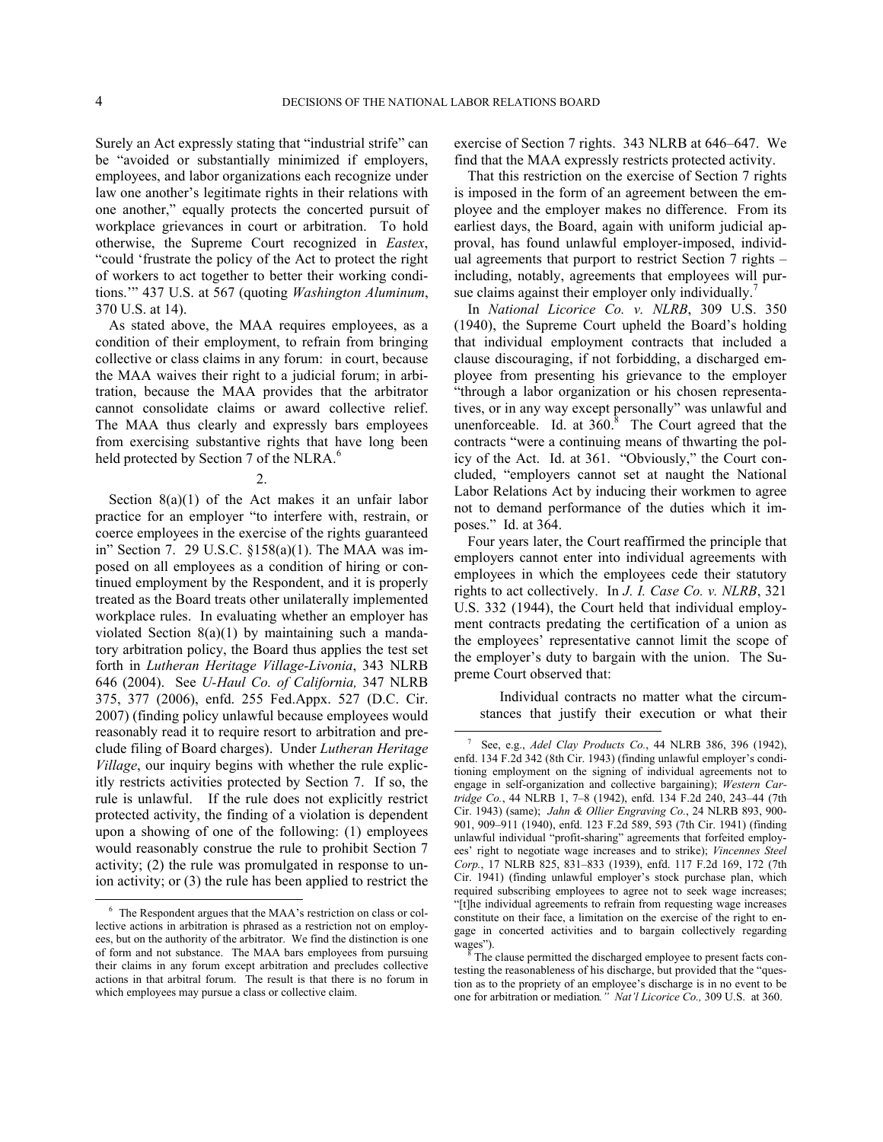$\overline{a}$ 

Surely an Act expressly stating that "industrial strife" can be "avoided or substantially minimized if employers, employees, and labor organizations each recognize under law one another's legitimate rights in their relations with one another," equally protects the concerted pursuit of workplace grievances in court or arbitration. To hold otherwise, the Supreme Court recognized in *Eastex*, "could 'frustrate the policy of the Act to protect the right of workers to act together to better their working conditions.'" 437 U.S. at 567 (quoting *Washington Aluminum*, 370 U.S. at 14).

As stated above, the MAA requires employees, as a condition of their employment, to refrain from bringing collective or class claims in any forum: in court, because the MAA waives their right to a judicial forum; in arbitration, because the MAA provides that the arbitrator cannot consolidate claims or award collective relief. The MAA thus clearly and expressly bars employees from exercising substantive rights that have long been held protected by Section 7 of the NLRA.<sup>[6](#page-3-0)</sup>

2.

Section  $8(a)(1)$  of the Act makes it an unfair labor practice for an employer "to interfere with, restrain, or coerce employees in the exercise of the rights guaranteed in" Section 7. 29 U.S.C. §158(a)(1). The MAA was imposed on all employees as a condition of hiring or continued employment by the Respondent, and it is properly treated as the Board treats other unilaterally implemented workplace rules. In evaluating whether an employer has violated Section 8(a)(1) by maintaining such a mandatory arbitration policy, the Board thus applies the test set forth in *Lutheran Heritage Village-Livonia*, 343 NLRB 646 (2004). See *U-Haul Co. of California,* 347 NLRB 375, 377 (2006), enfd. 255 Fed.Appx. 527 (D.C. Cir. 2007) (finding policy unlawful because employees would reasonably read it to require resort to arbitration and preclude filing of Board charges). Under *Lutheran Heritage Village*, our inquiry begins with whether the rule explicitly restricts activities protected by Section 7. If so, the rule is unlawful. If the rule does not explicitly restrict protected activity, the finding of a violation is dependent upon a showing of one of the following: (1) employees would reasonably construe the rule to prohibit Section 7 activity; (2) the rule was promulgated in response to union activity; or (3) the rule has been applied to restrict the exercise of Section 7 rights. 343 NLRB at 646–647. We find that the MAA expressly restricts protected activity.

That this restriction on the exercise of Section 7 rights is imposed in the form of an agreement between the employee and the employer makes no difference. From its earliest days, the Board, again with uniform judicial approval, has found unlawful employer-imposed, individual agreements that purport to restrict Section 7 rights – including, notably, agreements that employees will pursue claims against their employer only individually.

In *National Licorice Co. v. NLRB*, 309 U.S. 350 (1940), the Supreme Court upheld the Board's holding that individual employment contracts that included a clause discouraging, if not forbidding, a discharged employee from presenting his grievance to the employer "through a labor organization or his chosen representatives, or in any way except personally" was unlawful and unenforceable.Id. at  $360$ .<sup>8</sup> The Court agreed that the contracts "were a continuing means of thwarting the policy of the Act. Id. at 361. "Obviously," the Court concluded, "employers cannot set at naught the National Labor Relations Act by inducing their workmen to agree not to demand performance of the duties which it imposes." Id. at 364.

Four years later, the Court reaffirmed the principle that employers cannot enter into individual agreements with employees in which the employees cede their statutory rights to act collectively. In *J. I. Case Co. v. NLRB*, 321 U.S. 332 (1944), the Court held that individual employment contracts predating the certification of a union as the employees' representative cannot limit the scope of the employer's duty to bargain with the union. The Supreme Court observed that:

Individual contracts no matter what the circumstances that justify their execution or what their

<span id="page-3-1"></span>1

<span id="page-3-2"></span><span id="page-3-0"></span><sup>&</sup>lt;sup>6</sup> The Respondent argues that the MAA's restriction on class or collective actions in arbitration is phrased as a restriction not on employees, but on the authority of the arbitrator. We find the distinction is one of form and not substance. The MAA bars employees from pursuing their claims in any forum except arbitration and precludes collective actions in that arbitral forum. The result is that there is no forum in which employees may pursue a class or collective claim.

<sup>7</sup> See, e.g., *Adel Clay Products Co.*, 44 NLRB 386, 396 (1942), enfd. 134 F.2d 342 (8th Cir. 1943) (finding unlawful employer's conditioning employment on the signing of individual agreements not to engage in self-organization and collective bargaining); *Western Cartridge Co.*, 44 NLRB 1, 7–8 (1942), enfd. 134 F.2d 240, 243–44 (7th Cir. 1943) (same); *Jahn & Ollier Engraving Co.*, 24 NLRB 893, 900- 901, 909–911 (1940), enfd. 123 F.2d 589, 593 (7th Cir. 1941) (finding unlawful individual "profit-sharing" agreements that forfeited employees' right to negotiate wage increases and to strike); *Vincennes Steel Corp.*, 17 NLRB 825, 831–833 (1939), enfd. 117 F.2d 169, 172 (7th Cir. 1941) (finding unlawful employer's stock purchase plan, which required subscribing employees to agree not to seek wage increases; "[t]he individual agreements to refrain from requesting wage increases constitute on their face, a limitation on the exercise of the right to engage in concerted activities and to bargain collectively regarding wages").

The clause permitted the discharged employee to present facts contesting the reasonableness of his discharge, but provided that the "question as to the propriety of an employee's discharge is in no event to be one for arbitration or mediation*." Nat'l Licorice Co.,* 309 U.S. at 360.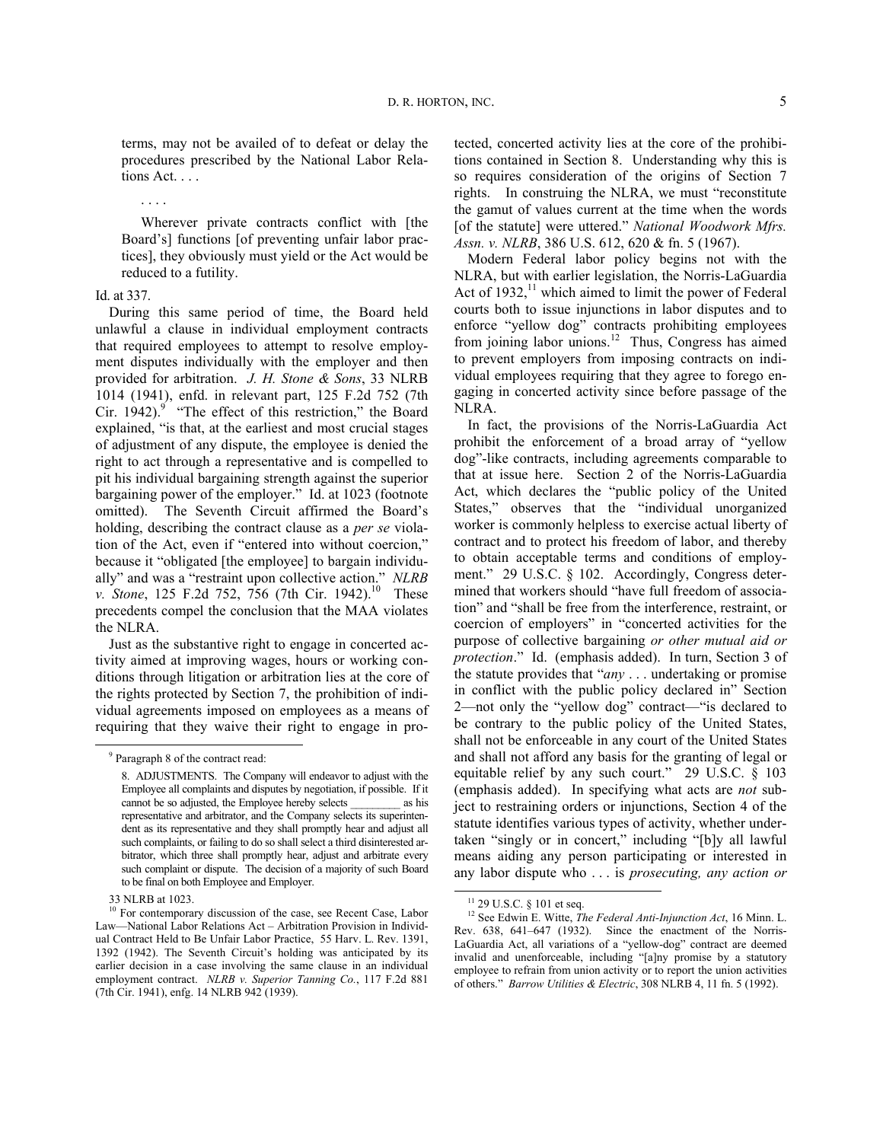terms, may not be availed of to defeat or delay the procedures prescribed by the National Labor Relations Act. . . .

. . . .

Wherever private contracts conflict with [the Board's] functions [of preventing unfair labor practices], they obviously must yield or the Act would be reduced to a futility.

## Id. at 337.

During this same period of time, the Board held unlawful a clause in individual employment contracts that required employees to attempt to resolve employment disputes individually with the employer and then provided for arbitration. *J. H. Stone & Sons*, 33 NLRB 1014 (1941), enfd. in relevant part, 125 F.2d 752 (7th Cir.1942). $9$  "The effect of this restriction," the Board explained, "is that, at the earliest and most crucial stages of adjustment of any dispute, the employee is denied the right to act through a representative and is compelled to pit his individual bargaining strength against the superior bargaining power of the employer." Id. at 1023 (footnote omitted). The Seventh Circuit affirmed the Board's holding, describing the contract clause as a *per se* violation of the Act, even if "entered into without coercion," because it "obligated [the employee] to bargain individually" and was a "restraint upon collective action." *NLRB v. Stone*, 125 F.2d 752, 756 (7th Cir. 1942).<sup>[10](#page-4-1)</sup> These precedents compel the conclusion that the MAA violates the NLRA.

Just as the substantive right to engage in concerted activity aimed at improving wages, hours or working conditions through litigation or arbitration lies at the core of the rights protected by Section 7, the prohibition of individual agreements imposed on employees as a means of requiring that they waive their right to engage in pro-

<span id="page-4-0"></span> $\overline{a}$ 

tected, concerted activity lies at the core of the prohibitions contained in Section 8. Understanding why this is so requires consideration of the origins of Section 7 rights. In construing the NLRA, we must "reconstitute the gamut of values current at the time when the words [of the statute] were uttered." *National Woodwork Mfrs. Assn. v. NLRB*, 386 U.S. 612, 620 & fn. 5 (1967).

Modern Federal labor policy begins not with the NLRA, but with earlier legislation, the Norris-LaGuardia Act of  $1932$ ,<sup>[11](#page-4-2)</sup> which aimed to limit the power of Federal courts both to issue injunctions in labor disputes and to enforce "yellow dog" contracts prohibiting employees from joining labor unions.<sup>[12](#page-4-3)</sup> Thus, Congress has aimed to prevent employers from imposing contracts on individual employees requiring that they agree to forego engaging in concerted activity since before passage of the NLRA.

In fact, the provisions of the Norris-LaGuardia Act prohibit the enforcement of a broad array of "yellow dog"-like contracts, including agreements comparable to that at issue here. Section 2 of the Norris-LaGuardia Act, which declares the "public policy of the United States," observes that the "individual unorganized worker is commonly helpless to exercise actual liberty of contract and to protect his freedom of labor, and thereby to obtain acceptable terms and conditions of employment." 29 U.S.C. § 102. Accordingly, Congress determined that workers should "have full freedom of association" and "shall be free from the interference, restraint, or coercion of employers" in "concerted activities for the purpose of collective bargaining *or other mutual aid or protection*." Id. (emphasis added). In turn, Section 3 of the statute provides that "*any* . . . undertaking or promise in conflict with the public policy declared in" Section 2—not only the "yellow dog" contract—"is declared to be contrary to the public policy of the United States, shall not be enforceable in any court of the United States and shall not afford any basis for the granting of legal or equitable relief by any such court." 29 U.S.C. § 103 (emphasis added). In specifying what acts are *not* subject to restraining orders or injunctions, Section 4 of the statute identifies various types of activity, whether undertaken "singly or in concert," including "[b]y all lawful means aiding any person participating or interested in any labor dispute who . . . is *prosecuting, any action or* 

 $\overline{a}$ 

<sup>&</sup>lt;sup>9</sup> Paragraph 8 of the contract read:

<sup>8.</sup> ADJUSTMENTS. The Company will endeavor to adjust with the Employee all complaints and disputes by negotiation, if possible. If it cannot be so adjusted, the Employee hereby selects \_\_\_\_\_\_\_\_\_ as his representative and arbitrator, and the Company selects its superintendent as its representative and they shall promptly hear and adjust all such complaints, or failing to do so shall select a third disinterested arbitrator, which three shall promptly hear, adjust and arbitrate every such complaint or dispute. The decision of a majority of such Board to be final on both Employee and Employer.

<sup>33</sup> NLRB at 1023.

<span id="page-4-3"></span><span id="page-4-2"></span><span id="page-4-1"></span><sup>&</sup>lt;sup>10</sup> For contemporary discussion of the case, see Recent Case, Labor Law—National Labor Relations Act – Arbitration Provision in Individual Contract Held to Be Unfair Labor Practice, 55 Harv. L. Rev. 1391, 1392 (1942). The Seventh Circuit's holding was anticipated by its earlier decision in a case involving the same clause in an individual employment contract. *NLRB v. Superior Tanning Co.*, 117 F.2d 881 (7th Cir. 1941), enfg. 14 NLRB 942 (1939).

<sup>&</sup>lt;sup>11</sup> 29 U.S.C. § 101 et seq.

<sup>12</sup> See Edwin E. Witte, *The Federal Anti-Injunction Act*, 16 Minn. L. Rev. 638, 641–647 (1932). Since the enactment of the Norris-LaGuardia Act, all variations of a "yellow-dog" contract are deemed invalid and unenforceable, including "[a]ny promise by a statutory employee to refrain from union activity or to report the union activities of others." *Barrow Utilities & Electric*, 308 NLRB 4, 11 fn. 5 (1992).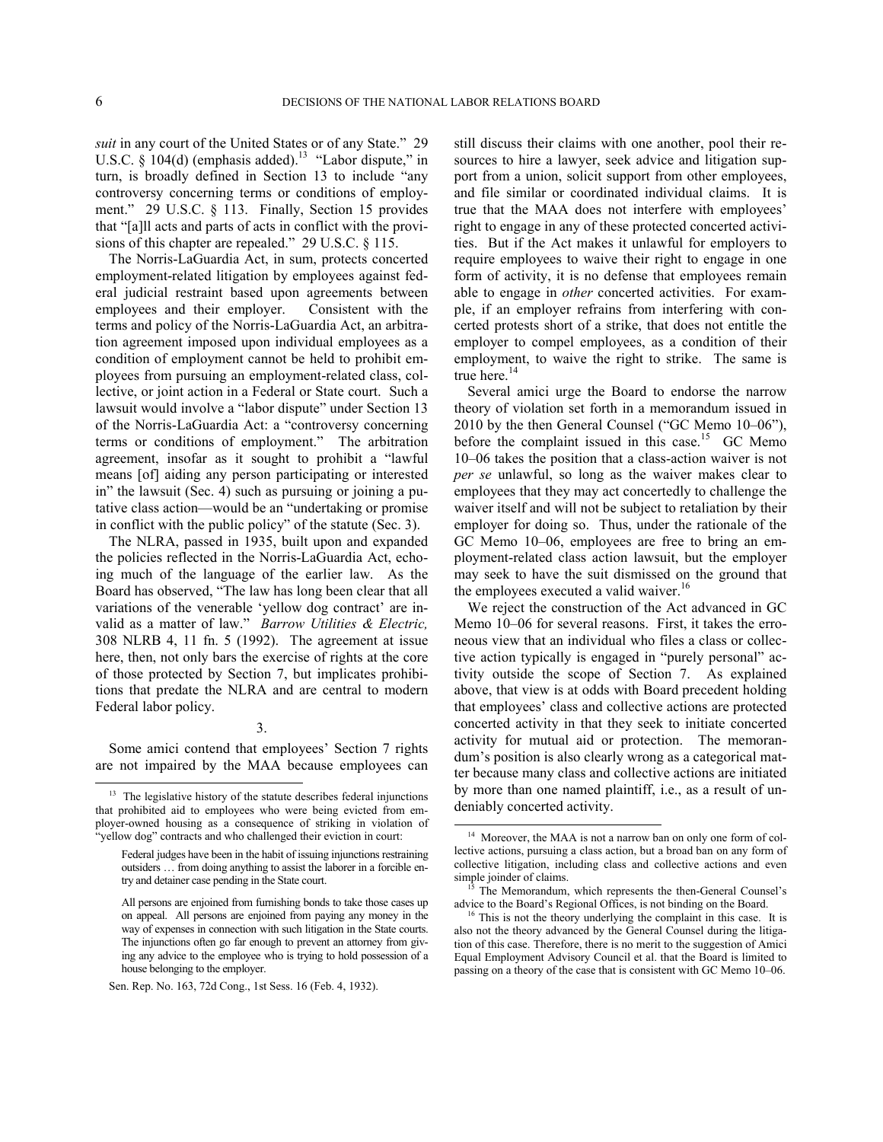$\overline{a}$ 

 $\overline{a}$ 

*suit* in any court of the United States or of any State." 29 U.S.C.  $\S$  104(d) (emphasis added).<sup>[13](#page-5-0)</sup> "Labor dispute," in turn, is broadly defined in Section 13 to include "any controversy concerning terms or conditions of employment." 29 U.S.C. § 113. Finally, Section 15 provides that "[a]ll acts and parts of acts in conflict with the provisions of this chapter are repealed." 29 U.S.C. § 115.

The Norris-LaGuardia Act, in sum, protects concerted employment-related litigation by employees against federal judicial restraint based upon agreements between employees and their employer. Consistent with the terms and policy of the Norris-LaGuardia Act, an arbitration agreement imposed upon individual employees as a condition of employment cannot be held to prohibit employees from pursuing an employment-related class, collective, or joint action in a Federal or State court. Such a lawsuit would involve a "labor dispute" under Section 13 of the Norris-LaGuardia Act: a "controversy concerning terms or conditions of employment." The arbitration agreement, insofar as it sought to prohibit a "lawful means [of] aiding any person participating or interested in" the lawsuit (Sec. 4) such as pursuing or joining a putative class action—would be an "undertaking or promise in conflict with the public policy" of the statute (Sec. 3).

The NLRA, passed in 1935, built upon and expanded the policies reflected in the Norris-LaGuardia Act, echoing much of the language of the earlier law. As the Board has observed, "The law has long been clear that all variations of the venerable 'yellow dog contract' are invalid as a matter of law." *Barrow Utilities & Electric,*  308 NLRB 4, 11 fn. 5 (1992). The agreement at issue here, then, not only bars the exercise of rights at the core of those protected by Section 7, but implicates prohibitions that predate the NLRA and are central to modern Federal labor policy.

# 3.

Some amici contend that employees' Section 7 rights are not impaired by the MAA because employees can still discuss their claims with one another, pool their resources to hire a lawyer, seek advice and litigation support from a union, solicit support from other employees, and file similar or coordinated individual claims. It is true that the MAA does not interfere with employees' right to engage in any of these protected concerted activities. But if the Act makes it unlawful for employers to require employees to waive their right to engage in one form of activity, it is no defense that employees remain able to engage in *other* concerted activities. For example, if an employer refrains from interfering with concerted protests short of a strike, that does not entitle the employer to compel employees, as a condition of their employment, to waive the right to strike. The same is true here.<sup>[14](#page-5-1)</sup>

Several amici urge the Board to endorse the narrow theory of violation set forth in a memorandum issued in 2010 by the then General Counsel ("GC Memo 10–06"), before the complaint issued in this case.<sup>[15](#page-5-2)</sup> GC Memo 10–06 takes the position that a class-action waiver is not *per se* unlawful, so long as the waiver makes clear to employees that they may act concertedly to challenge the waiver itself and will not be subject to retaliation by their employer for doing so. Thus, under the rationale of the GC Memo 10–06, employees are free to bring an employment-related class action lawsuit, but the employer may seek to have the suit dismissed on the ground that the employees executed a valid waiver.<sup>[16](#page-5-3)</sup>

We reject the construction of the Act advanced in GC Memo 10–06 for several reasons. First, it takes the erroneous view that an individual who files a class or collective action typically is engaged in "purely personal" activity outside the scope of Section 7. As explained above, that view is at odds with Board precedent holding that employees' class and collective actions are protected concerted activity in that they seek to initiate concerted activity for mutual aid or protection. The memorandum's position is also clearly wrong as a categorical matter because many class and collective actions are initiated by more than one named plaintiff, i.e., as a result of undeniably concerted activity.

<span id="page-5-1"></span><span id="page-5-0"></span> $13$  The legislative history of the statute describes federal injunctions that prohibited aid to employees who were being evicted from employer-owned housing as a consequence of striking in violation of 'yellow dog" contracts and who challenged their eviction in court:

Federal judges have been in the habit of issuing injunctions restraining outsiders … from doing anything to assist the laborer in a forcible entry and detainer case pending in the State court.

<span id="page-5-3"></span><span id="page-5-2"></span>All persons are enjoined from furnishing bonds to take those cases up on appeal. All persons are enjoined from paying any money in the way of expenses in connection with such litigation in the State courts. The injunctions often go far enough to prevent an attorney from giving any advice to the employee who is trying to hold possession of a house belonging to the employer.

Sen. Rep. No. 163, 72d Cong., 1st Sess. 16 (Feb. 4, 1932).

<sup>&</sup>lt;sup>14</sup> Moreover, the MAA is not a narrow ban on only one form of collective actions, pursuing a class action, but a broad ban on any form of collective litigation, including class and collective actions and even simple joinder of claims.

The Memorandum, which represents the then-General Counsel's advice to the Board's Regional Offices, is not binding on the Board.

 $16$  This is not the theory underlying the complaint in this case. It is also not the theory advanced by the General Counsel during the litigation of this case. Therefore, there is no merit to the suggestion of Amici Equal Employment Advisory Council et al. that the Board is limited to passing on a theory of the case that is consistent with GC Memo 10–06.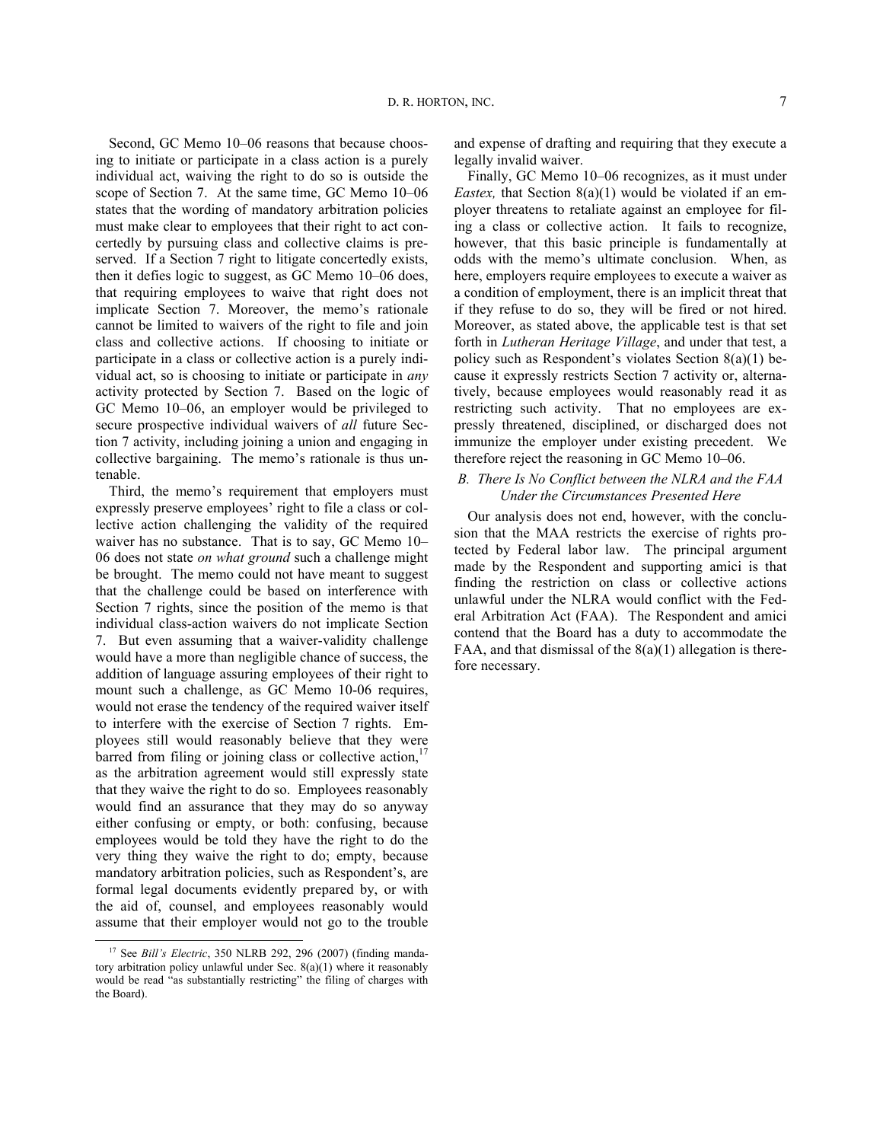Second, GC Memo 10–06 reasons that because choosing to initiate or participate in a class action is a purely individual act, waiving the right to do so is outside the scope of Section 7. At the same time, GC Memo 10–06 states that the wording of mandatory arbitration policies must make clear to employees that their right to act concertedly by pursuing class and collective claims is preserved. If a Section 7 right to litigate concertedly exists, then it defies logic to suggest, as GC Memo 10–06 does, that requiring employees to waive that right does not implicate Section 7. Moreover, the memo's rationale cannot be limited to waivers of the right to file and join class and collective actions. If choosing to initiate or participate in a class or collective action is a purely individual act, so is choosing to initiate or participate in *any* activity protected by Section 7. Based on the logic of GC Memo 10–06, an employer would be privileged to secure prospective individual waivers of *all* future Section 7 activity, including joining a union and engaging in collective bargaining. The memo's rationale is thus untenable.

Third, the memo's requirement that employers must expressly preserve employees' right to file a class or collective action challenging the validity of the required waiver has no substance. That is to say, GC Memo 10– 06 does not state *on what ground* such a challenge might be brought. The memo could not have meant to suggest that the challenge could be based on interference with Section 7 rights, since the position of the memo is that individual class-action waivers do not implicate Section 7. But even assuming that a waiver-validity challenge would have a more than negligible chance of success, the addition of language assuring employees of their right to mount such a challenge, as GC Memo 10-06 requires, would not erase the tendency of the required waiver itself to interfere with the exercise of Section 7 rights. Employees still would reasonably believe that they were barred from filing or joining class or collective action,  $17$ as the arbitration agreement would still expressly state that they waive the right to do so. Employees reasonably would find an assurance that they may do so anyway either confusing or empty, or both: confusing, because employees would be told they have the right to do the very thing they waive the right to do; empty, because mandatory arbitration policies, such as Respondent's, are formal legal documents evidently prepared by, or with the aid of, counsel, and employees reasonably would assume that their employer would not go to the trouble

 $\overline{a}$ 

and expense of drafting and requiring that they execute a legally invalid waiver.

Finally, GC Memo 10–06 recognizes, as it must under *Eastex,* that Section 8(a)(1) would be violated if an employer threatens to retaliate against an employee for filing a class or collective action. It fails to recognize, however, that this basic principle is fundamentally at odds with the memo's ultimate conclusion. When, as here, employers require employees to execute a waiver as a condition of employment, there is an implicit threat that if they refuse to do so, they will be fired or not hired. Moreover, as stated above, the applicable test is that set forth in *Lutheran Heritage Village*, and under that test, a policy such as Respondent's violates Section 8(a)(1) because it expressly restricts Section 7 activity or, alternatively, because employees would reasonably read it as restricting such activity. That no employees are expressly threatened, disciplined, or discharged does not immunize the employer under existing precedent. We therefore reject the reasoning in GC Memo 10–06.

# *B. There Is No Conflict between the NLRA and the FAA Under the Circumstances Presented Here*

Our analysis does not end, however, with the conclusion that the MAA restricts the exercise of rights protected by Federal labor law. The principal argument made by the Respondent and supporting amici is that finding the restriction on class or collective actions unlawful under the NLRA would conflict with the Federal Arbitration Act (FAA). The Respondent and amici contend that the Board has a duty to accommodate the FAA, and that dismissal of the  $8(a)(1)$  allegation is therefore necessary.

<span id="page-6-0"></span><sup>17</sup> See *Bill's Electric*, 350 NLRB 292, 296 (2007) (finding mandatory arbitration policy unlawful under Sec.  $8(a)(1)$  where it reasonably would be read "as substantially restricting" the filing of charges with the Board).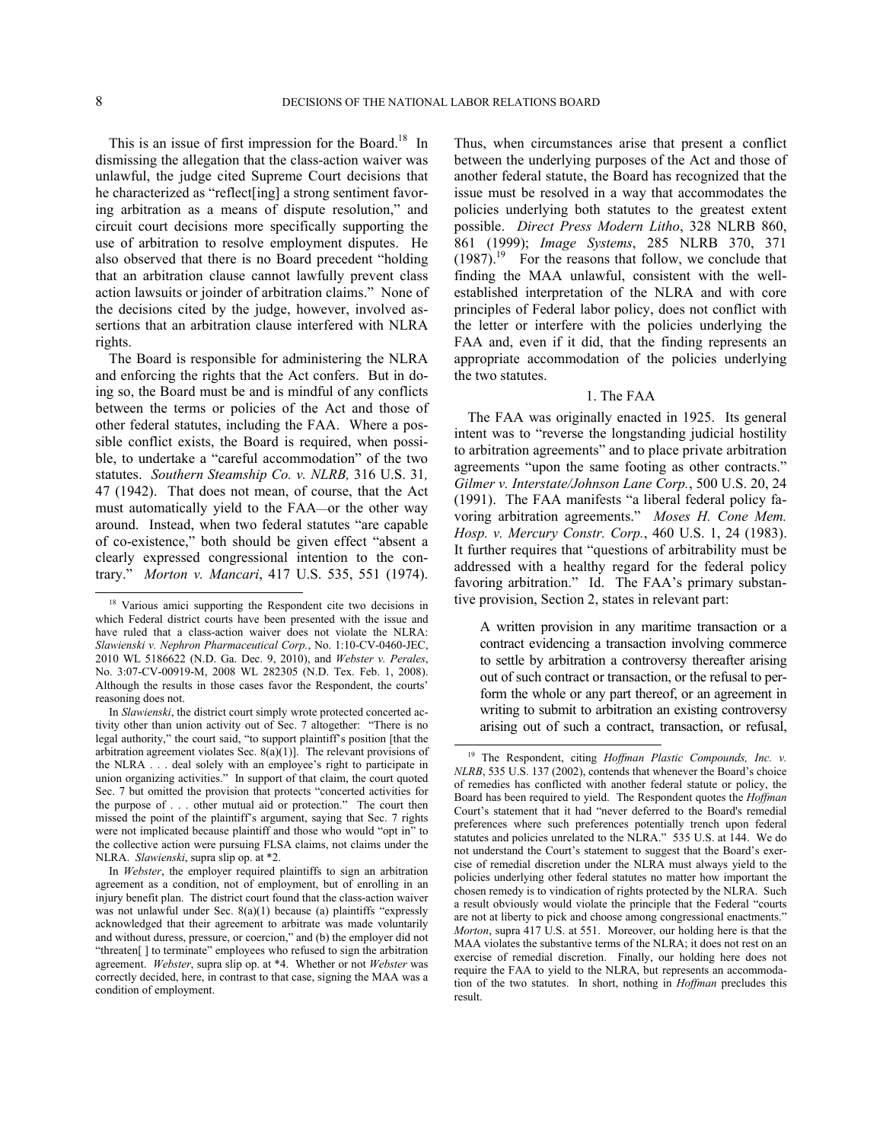1

 $\overline{a}$ 

This is an issue of first impression for the Board.<sup>[18](#page-7-0)</sup> In dismissing the allegation that the class-action waiver was unlawful, the judge cited Supreme Court decisions that he characterized as "reflect[ing] a strong sentiment favoring arbitration as a means of dispute resolution," and circuit court decisions more specifically supporting the use of arbitration to resolve employment disputes. He also observed that there is no Board precedent "holding that an arbitration clause cannot lawfully prevent class action lawsuits or joinder of arbitration claims." None of the decisions cited by the judge, however, involved assertions that an arbitration clause interfered with NLRA rights.

The Board is responsible for administering the NLRA and enforcing the rights that the Act confers. But in doing so, the Board must be and is mindful of any conflicts between the terms or policies of the Act and those of other federal statutes, including the FAA. Where a possible conflict exists, the Board is required, when possible, to undertake a "careful accommodation" of the two statutes. *[Southern Steamship Co. v. NLRB,](https://web2.westlaw.com/find/default.wl?serialnum=1942122830&tc=-1&rp=%2ffind%2fdefault.wl&sv=Split&rs=WLW11.10&db=780&tf=-1&findtype=Y&fn=_top&mt=Westlaw&vr=2.0&pbc=786DBC0C&ordoc=2025847878)* 316 U.S. 31*,*  47 [\(1942\)](https://web2.westlaw.com/find/default.wl?serialnum=1942122830&tc=-1&rp=%2ffind%2fdefault.wl&sv=Split&rs=WLW11.10&db=780&tf=-1&findtype=Y&fn=_top&mt=Westlaw&vr=2.0&pbc=786DBC0C&ordoc=2025847878). That does not mean, of course, that the Act must automatically yield to the FAA—or the other way around. Instead, when two federal statutes "are capable of co-existence," both should be given effect "absent a clearly expressed congressional intention to the contrary." *Morton v. Mancari*, 417 U.S. 535, 551 (1974). Thus, when circumstances arise that present a conflict between the underlying purposes of the Act and those of another federal statute, the Board has recognized that the issue must be resolved in a way that accommodates the policies underlying both statutes to the greatest extent possible. *Direct Press Modern Litho*, 328 NLRB 860, 861 (1999); *Image Systems*, 285 NLRB 370, 371  $(1987)$  $(1987)$  $(1987)$ .<sup>19</sup> For the reasons that follow, we conclude that finding the MAA unlawful, consistent with the wellestablished interpretation of the NLRA and with core principles of Federal labor policy, does not conflict with the letter or interfere with the policies underlying the FAA and, even if it did, that the finding represents an appropriate accommodation of the policies underlying the two statutes.

# 1. The FAA

The FAA was originally enacted in 1925. Its general intent was to "reverse the longstanding judicial hostility to arbitration agreements" and to place private arbitration agreements "upon the same footing as other contracts." *Gilmer v. Interstate/Johnson Lane Corp.*, 500 U.S. 20, 24 (1991). The FAA manifests "a liberal federal policy favoring arbitration agreements." *Moses H. Cone Mem. Hosp. v. Mercury Constr. Corp.*, 460 U.S. 1, 24 (1983). It further requires that "questions of arbitrability must be addressed with a healthy regard for the federal policy favoring arbitration." Id. The FAA's primary substantive provision, Section 2, states in relevant part:

A written provision in any maritime transaction or a contract evidencing a transaction involving commerce to settle by arbitration a controversy thereafter arising out of such contract or transaction, or the refusal to perform the whole or any part thereof, or an agreement in writing to submit to arbitration an existing controversy arising out of such a contract, transaction, or refusal,

<span id="page-7-0"></span><sup>&</sup>lt;sup>18</sup> Various amici supporting the Respondent cite two decisions in which Federal district courts have been presented with the issue and have ruled that a class-action waiver does not violate the NLRA: *Slawienski v. Nephron Pharmaceutical Corp.*, No. 1:10-CV-0460-JEC, 2010 WL 5186622 (N.D. Ga. Dec. 9, 2010), and *Webster v. Perales*, No. 3:07-CV-00919-M, 2008 WL 282305 (N.D. Tex. Feb. 1, 2008). Although the results in those cases favor the Respondent, the courts' reasoning does not.

<span id="page-7-1"></span>In *Slawienski*, the district court simply wrote protected concerted activity other than union activity out of Sec. 7 altogether: "There is no legal authority," the court said, "to support plaintiff's position [that the arbitration agreement violates Sec. 8(a)(1)]. The relevant provisions of the NLRA . . . deal solely with an employee's right to participate in union organizing activities." In support of that claim, the court quoted Sec. 7 but omitted the provision that protects "concerted activities for the purpose of . . . other mutual aid or protection." The court then missed the point of the plaintiff's argument, saying that Sec. 7 rights were not implicated because plaintiff and those who would "opt in" to the collective action were pursuing FLSA claims, not claims under the NLRA. *Slawienski*, supra slip op. at \*2.

In *Webster*, the employer required plaintiffs to sign an arbitration agreement as a condition, not of employment, but of enrolling in an injury benefit plan. The district court found that the class-action waiver was not unlawful under Sec. 8(a)(1) because (a) plaintiffs "expressly acknowledged that their agreement to arbitrate was made voluntarily and without duress, pressure, or coercion," and (b) the employer did not "threaten[ ] to terminate" employees who refused to sign the arbitration agreement. *Webster*, supra slip op. at \*4. Whether or not *Webster* was correctly decided, here, in contrast to that case, signing the MAA was a condition of employment.

<sup>19</sup> The Respondent, citing *Hoffman Plastic Compounds, Inc. v. NLRB*, 535 U.S. 137 (2002), contends that whenever the Board's choice of remedies has conflicted with another federal statute or policy, the Board has been required to yield. The Respondent quotes the *Hoffman*  Court's statement that it had "never deferred to the Board's remedial preferences where such preferences potentially trench upon federal statutes and policies unrelated to the NLRA." 535 U.S. at 144. We do not understand the Court's statement to suggest that the Board's exercise of remedial discretion under the NLRA must always yield to the policies underlying other federal statutes no matter how important the chosen remedy is to vindication of rights protected by the NLRA. Such a result obviously would violate the principle that the Federal "courts are not at liberty to pick and choose among congressional enactments." *Morton*, supra 417 U.S. at 551. Moreover, our holding here is that the MAA violates the substantive terms of the NLRA; it does not rest on an exercise of remedial discretion. Finally, our holding here does not require the FAA to yield to the NLRA, but represents an accommodation of the two statutes. In short, nothing in *Hoffman* precludes this result.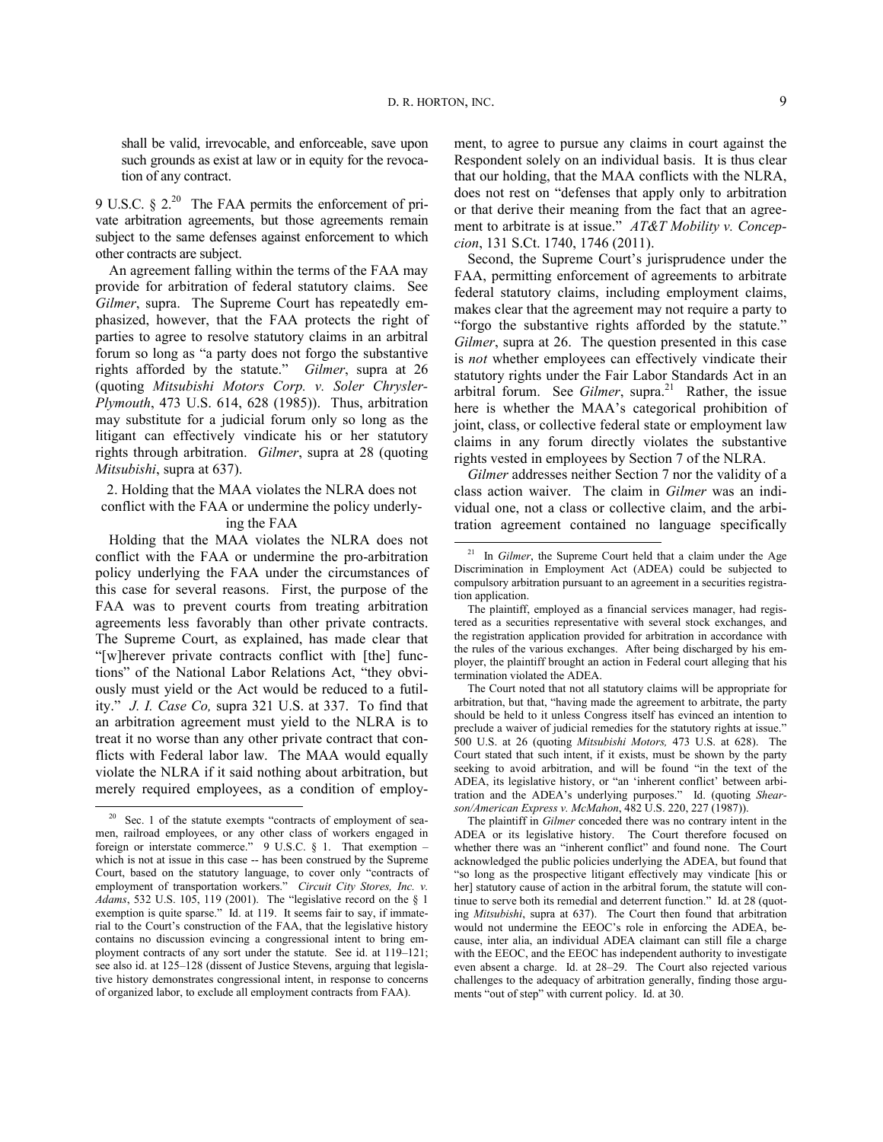shall be valid, irrevocable, and enforceable, save upon such grounds as exist at law or in equity for the revocation of any contract.

9 U.S.C.  $\S 2^{20}$  $\S 2^{20}$  $\S 2^{20}$  The FAA permits the enforcement of private arbitration agreements, but those agreements remain subject to the same defenses against enforcement to which other contracts are subject.

An agreement falling within the terms of the FAA may provide for arbitration of federal statutory claims. See *Gilmer*, supra. The Supreme Court has repeatedly emphasized, however, that the FAA protects the right of parties to agree to resolve statutory claims in an arbitral forum so long as "a party does not forgo the substantive rights afforded by the statute." *Gilmer*, supra at 26 (quoting *Mitsubishi Motors Corp. v. Soler Chrysler-Plymouth*, 473 U.S. 614, 628 (1985)). Thus, arbitration may substitute for a judicial forum only so long as the litigant can effectively vindicate his or her statutory rights through arbitration. *Gilmer*, supra at 28 (quoting *Mitsubishi*, supra at 637).

2. Holding that the MAA violates the NLRA does not conflict with the FAA or undermine the policy underly-

ing the FAA

<span id="page-8-1"></span>Holding that the MAA violates the NLRA does not conflict with the FAA or undermine the pro-arbitration policy underlying the FAA under the circumstances of this case for several reasons. First, the purpose of the FAA was to prevent courts from treating arbitration agreements less favorably than other private contracts. The Supreme Court, as explained, has made clear that "[w]herever private contracts conflict with [the] functions" of the National Labor Relations Act, "they obviously must yield or the Act would be reduced to a futility." *J. I. Case Co,* supra 321 U.S. at 337. To find that an arbitration agreement must yield to the NLRA is to treat it no worse than any other private contract that conflicts with Federal labor law. The MAA would equally violate the NLRA if it said nothing about arbitration, but merely required employees, as a condition of employ-

-

ment, to agree to pursue any claims in court against the Respondent solely on an individual basis. It is thus clear that our holding, that the MAA conflicts with the NLRA, does not rest on "defenses that apply only to arbitration or that derive their meaning from the fact that an agreement to arbitrate is at issue." *AT&T Mobility v. Concepcion*, 131 S.Ct. 1740, 1746 (2011).

Second, the Supreme Court's jurisprudence under the FAA, permitting enforcement of agreements to arbitrate federal statutory claims, including employment claims, makes clear that the agreement may not require a party to "forgo the substantive rights afforded by the statute." *Gilmer*, supra at 26. The question presented in this case is *not* whether employees can effectively vindicate their statutory rights under the Fair Labor Standards Act in an arbitral forum. See *Gilmer*, supra.<sup>[21](#page-8-1)</sup> Rather, the issue here is whether the MAA's categorical prohibition of joint, class, or collective federal state or employment law claims in any forum directly violates the substantive rights vested in employees by Section 7 of the NLRA.

*Gilmer* addresses neither Section 7 nor the validity of a class action waiver. The claim in *Gilmer* was an individual one, not a class or collective claim, and the arbitration agreement contained no language specifically

The Court noted that not all statutory claims will be appropriate for arbitration, but that, "having made the agreement to arbitrate, the party should be held to it unless Congress itself has evinced an intention to preclude a waiver of judicial remedies for the statutory rights at issue." 500 U.S. at 26 (quoting *Mitsubishi Motors,* 473 U.S. at 628). The Court stated that such intent, if it exists, must be shown by the party seeking to avoid arbitration, and will be found "in the text of the ADEA, its legislative history, or "an 'inherent conflict' between arbitration and the ADEA's underlying purposes." Id. (quoting *Shearson/American Express v. McMahon*, 482 U.S. 220, 227 (1987)).

The plaintiff in *Gilmer* conceded there was no contrary intent in the ADEA or its legislative history. The Court therefore focused on whether there was an "inherent conflict" and found none. The Court acknowledged the public policies underlying the ADEA, but found that "so long as the prospective litigant effectively may vindicate [his or her] statutory cause of action in the arbitral forum, the statute will continue to serve both its remedial and deterrent function." Id. at 28 (quoting *Mitsubishi*, supra at 637). The Court then found that arbitration would not undermine the EEOC's role in enforcing the ADEA, because, inter alia, an individual ADEA claimant can still file a charge with the EEOC, and the EEOC has independent authority to investigate even absent a charge. Id. at 28–29. The Court also rejected various challenges to the adequacy of arbitration generally, finding those arguments "out of step" with current policy. Id. at 30.

<span id="page-8-0"></span> $20$  Sec. 1 of the statute exempts "contracts of employment of seamen, railroad employees, or any other class of workers engaged in foreign or interstate commerce." 9 U.S.C. § 1. That exemption – which is not at issue in this case -- has been construed by the Supreme Court, based on the statutory language, to cover only "contracts of employment of transportation workers." *Circuit City Stores, Inc. v. Adams*, 532 U.S. 105, 119 (2001). The "legislative record on the § 1 exemption is quite sparse." Id. at 119. It seems fair to say, if immaterial to the Court's construction of the FAA, that the legislative history contains no discussion evincing a congressional intent to bring employment contracts of any sort under the statute. See id. at 119–121; see also id. at 125–128 (dissent of Justice Stevens, arguing that legislative history demonstrates congressional intent, in response to concerns of organized labor, to exclude all employment contracts from FAA).

<sup>&</sup>lt;sup>21</sup> In *Gilmer*, the Supreme Court held that a claim under the Age Discrimination in Employment Act (ADEA) could be subjected to compulsory arbitration pursuant to an agreement in a securities registration application.

The plaintiff, employed as a financial services manager, had registered as a securities representative with several stock exchanges, and the registration application provided for arbitration in accordance with the rules of the various exchanges. After being discharged by his employer, the plaintiff brought an action in Federal court alleging that his termination violated the ADEA.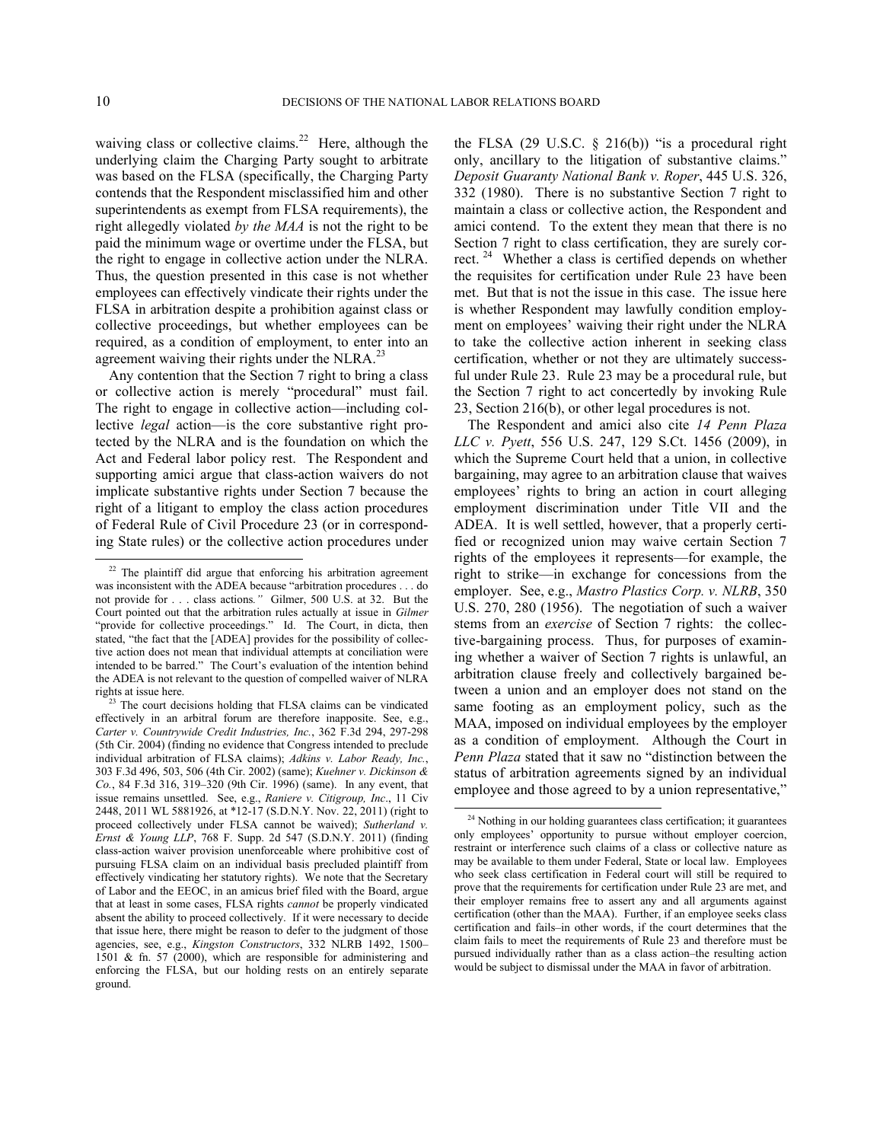-

 $\overline{a}$ 

waiving class or collective claims.<sup>[22](#page-9-0)</sup> Here, although the underlying claim the Charging Party sought to arbitrate was based on the FLSA (specifically, the Charging Party contends that the Respondent misclassified him and other superintendents as exempt from FLSA requirements), the right allegedly violated *by the MAA* is not the right to be paid the minimum wage or overtime under the FLSA, but the right to engage in collective action under the NLRA. Thus, the question presented in this case is not whether employees can effectively vindicate their rights under the FLSA in arbitration despite a prohibition against class or collective proceedings, but whether employees can be required, as a condition of employment, to enter into an agreement waiving their rights under the NLRA.<sup>[23](#page-9-1)</sup>

Any contention that the Section 7 right to bring a class or collective action is merely "procedural" must fail. The right to engage in collective action—including collective *legal* action—is the core substantive right protected by the NLRA and is the foundation on which the Act and Federal labor policy rest. The Respondent and supporting amici argue that class-action waivers do not implicate substantive rights under Section 7 because the right of a litigant to employ the class action procedures of Federal Rule of Civil Procedure 23 (or in corresponding State rules) or the collective action procedures under the FLSA (29 U.S.C.  $\S$  216(b)) "is a procedural right only, ancillary to the litigation of substantive claims." *Deposit Guaranty National Bank v. Roper*, 445 U.S. 326, 332 (1980). There is no substantive Section 7 right to maintain a class or collective action, the Respondent and amici contend. To the extent they mean that there is no Section 7 right to class certification, they are surely cor-rect.<sup>[24](#page-9-2)</sup> Whether a class is certified depends on whether the requisites for certification under Rule 23 have been met. But that is not the issue in this case. The issue here is whether Respondent may lawfully condition employment on employees' waiving their right under the NLRA to take the collective action inherent in seeking class certification, whether or not they are ultimately successful under Rule 23. Rule 23 may be a procedural rule, but the Section 7 right to act concertedly by invoking Rule 23, Section 216(b), or other legal procedures is not.

The Respondent and amici also cite *14 Penn Plaza LLC v. Pyett*, 556 U.S. 247, 129 S.Ct. 1456 (2009), in which the Supreme Court held that a union, in collective bargaining, may agree to an arbitration clause that waives employees' rights to bring an action in court alleging employment discrimination under Title VII and the ADEA. It is well settled, however, that a properly certified or recognized union may waive certain Section 7 rights of the employees it represents—for example, the right to strike—in exchange for concessions from the employer. See, e.g., *Mastro Plastics Corp. v. NLRB*, 350 U.S. 270, 280 (1956). The negotiation of such a waiver stems from an *exercise* of Section 7 rights: the collective-bargaining process. Thus, for purposes of examining whether a waiver of Section 7 rights is unlawful, an arbitration clause freely and collectively bargained between a union and an employer does not stand on the same footing as an employment policy, such as the MAA, imposed on individual employees by the employer as a condition of employment. Although the Court in *Penn Plaza* stated that it saw no "distinction between the status of arbitration agreements signed by an individual employee and those agreed to by a union representative,"

<span id="page-9-0"></span><sup>&</sup>lt;sup>22</sup> The plaintiff did argue that enforcing his arbitration agreement was inconsistent with the ADEA because "arbitration procedures . . . do not provide for . . . class actions*."* Gilmer, 500 U.S. at 32. But the Court pointed out that the arbitration rules actually at issue in *Gilmer* "provide for collective proceedings." Id. The Court, in dicta, then stated, "the fact that the [ADEA] provides for the possibility of collective action does not mean that individual attempts at conciliation were intended to be barred." The Court's evaluation of the intention behind the ADEA is not relevant to the question of compelled waiver of NLRA rights at issue here.

<span id="page-9-2"></span><span id="page-9-1"></span> $23$  The court decisions holding that FLSA claims can be vindicated effectively in an arbitral forum are therefore inapposite. See, e.g., *Carter v. Countrywide Credit Industries, Inc.*, 362 F.3d 294, 297-298 (5th Cir. 2004) (finding no evidence that Congress intended to preclude individual arbitration of FLSA claims); *Adkins v. Labor Ready, Inc.*, 303 F.3d 496, 503, 506 (4th Cir. 2002) (same); *Kuehner v. Dickinson & Co.*, 84 F.3d 316, 319–320 (9th Cir. 1996) (same). In any event, that issue remains unsettled. See, e.g., *Raniere v. Citigroup, Inc*., 11 Civ 2448, 2011 WL 5881926, at \*12-17 (S.D.N.Y. Nov. 22, 2011) (right to proceed collectively under FLSA cannot be waived); *Sutherland v. Ernst & Young LLP*, 768 F. Supp. 2d 547 (S.D.N.Y. 2011) (finding class-action waiver provision unenforceable where prohibitive cost of pursuing FLSA claim on an individual basis precluded plaintiff from effectively vindicating her statutory rights). We note that the Secretary of Labor and the EEOC, in an amicus brief filed with the Board, argue that at least in some cases, FLSA rights *cannot* be properly vindicated absent the ability to proceed collectively. If it were necessary to decide that issue here, there might be reason to defer to the judgment of those agencies, see, e.g., *Kingston Constructors*, 332 NLRB 1492, 1500– 1501 & fn. 57 (2000), which are responsible for administering and enforcing the FLSA, but our holding rests on an entirely separate ground.

<sup>&</sup>lt;sup>24</sup> Nothing in our holding guarantees class certification; it guarantees only employees' opportunity to pursue without employer coercion, restraint or interference such claims of a class or collective nature as may be available to them under Federal, State or local law. Employees who seek class certification in Federal court will still be required to prove that the requirements for certification under Rule 23 are met, and their employer remains free to assert any and all arguments against certification (other than the MAA). Further, if an employee seeks class certification and fails–in other words, if the court determines that the claim fails to meet the requirements of Rule 23 and therefore must be pursued individually rather than as a class action–the resulting action would be subject to dismissal under the MAA in favor of arbitration.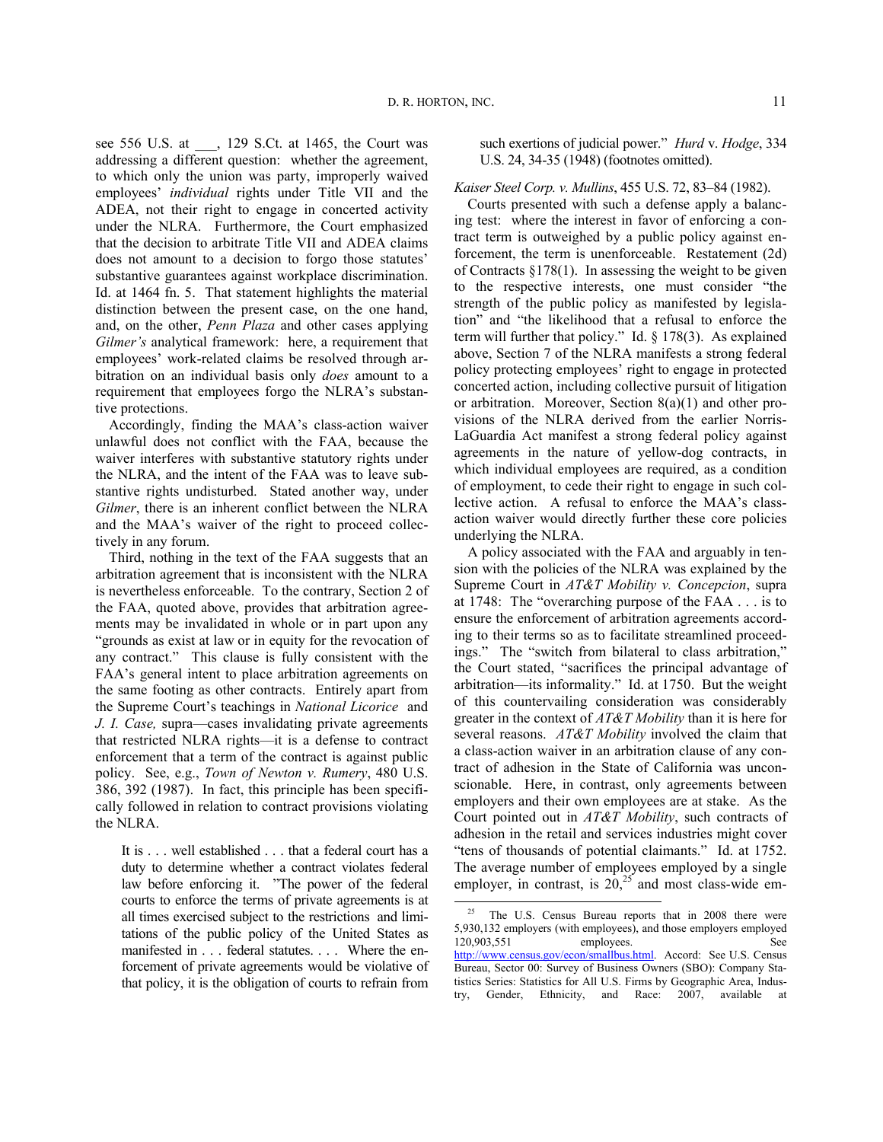see 556 U.S. at \_\_\_, 129 S.Ct. at 1465, the Court was addressing a different question: whether the agreement, to which only the union was party, improperly waived employees' *individual* rights under Title VII and the ADEA, not their right to engage in concerted activity under the NLRA. Furthermore, the Court emphasized that the decision to arbitrate Title VII and ADEA claims does not amount to a decision to forgo those statutes' substantive guarantees against workplace discrimination. Id. at 1464 fn. 5. That statement highlights the material distinction between the present case, on the one hand, and, on the other, *Penn Plaza* and other cases applying *Gilmer's* analytical framework: here, a requirement that employees' work-related claims be resolved through arbitration on an individual basis only *does* amount to a requirement that employees forgo the NLRA's substantive protections.

Accordingly, finding the MAA's class-action waiver unlawful does not conflict with the FAA, because the waiver interferes with substantive statutory rights under the NLRA, and the intent of the FAA was to leave substantive rights undisturbed. Stated another way, under *Gilmer*, there is an inherent conflict between the NLRA and the MAA's waiver of the right to proceed collectively in any forum.

Third, nothing in the text of the FAA suggests that an arbitration agreement that is inconsistent with the NLRA is nevertheless enforceable. To the contrary, Section 2 of the FAA, quoted above, provides that arbitration agreements may be invalidated in whole or in part upon any "grounds as exist at law or in equity for the revocation of any contract." This clause is fully consistent with the FAA's general intent to place arbitration agreements on the same footing as other contracts. Entirely apart from the Supreme Court's teachings in *National Licorice* and *J. I. Case,* supra—cases invalidating private agreements that restricted NLRA rights—it is a defense to contract enforcement that a term of the contract is against public policy. See, e.g., *Town of Newton v. Rumery*, 480 U.S. 386, 392 (1987). In fact, this principle has been specifically followed in relation to contract provisions violating the NLRA.

<span id="page-10-0"></span>[It is . . . well established . . . that a federal court has](http://factfinder.census.gov/servlet/IBQTable?_bm=y&-geo_id=D&-ds_name=SB0700CSA01&-_lang=en) a duty to determine whether a contract violates federal law before enforcing it. "The power of the federal courts to enforce the terms of private agreements is at all times exercised subject to the restrictions and limitations of the public policy of the United States as manifested in . . . federal statutes. . . . Where the enforcement of private agreements would be violative of that policy, it is the obligation of courts to refrain from

such exertions of judicial power." *Hurd* v. *[Hodge](http://www.lexis.com/research/buttonTFLink?_m=bc074bde39aa4b7e4dd551fe2022ef9f&_xfercite=%3ccite%20cc%3d%22USA%22%3e%3c%21%5bCDATA%5b455%20U.S.%2072%5d%5d%3e%3c%2fcite%3e&_butType=3&_butStat=2&_butNum=169&_butInline=1&_butinfo=%3ccite%20cc%3d%22USA%22%3e%3c%21%5bCDATA%5b334%20U.S.%2024%2c%2034%5d%5d%3e%3c%2fcite%3e&_fmtstr=FULL&docnum=1&_startdoc=1&wchp=dGLbVzk-zSkAb&_md5=04adc6df57166e9e3410062e3c64736a)*, 334 [U.S. 24, 34-35 \(1948\) \(](http://www.lexis.com/research/buttonTFLink?_m=bc074bde39aa4b7e4dd551fe2022ef9f&_xfercite=%3ccite%20cc%3d%22USA%22%3e%3c%21%5bCDATA%5b455%20U.S.%2072%5d%5d%3e%3c%2fcite%3e&_butType=3&_butStat=2&_butNum=169&_butInline=1&_butinfo=%3ccite%20cc%3d%22USA%22%3e%3c%21%5bCDATA%5b334%20U.S.%2024%2c%2034%5d%5d%3e%3c%2fcite%3e&_fmtstr=FULL&docnum=1&_startdoc=1&wchp=dGLbVzk-zSkAb&_md5=04adc6df57166e9e3410062e3c64736a)footnotes omitted).

*Kaiser Steel Corp. v. Mullins*, 455 U.S. 72, 83–84 (1982).

Courts presented with such a defense apply a balancing test: where the interest in favor of enforcing a contract term is outweighed by a public policy against enforcement, the term is unenforceable. Restatement (2d) of Contracts §178(1). In assessing the weight to be given to the respective interests, one must consider "the strength of the public policy as manifested by legislation" and "the likelihood that a refusal to enforce the term will further that policy." Id. § 178(3). As explained above, Section 7 of the NLRA manifests a strong federal policy protecting employees' right to engage in protected concerted action, including collective pursuit of litigation or arbitration. Moreover, Section 8(a)(1) and other provisions of the NLRA derived from the earlier Norris-LaGuardia Act manifest a strong federal policy against agreements in the nature of yellow-dog contracts, in which individual employees are required, as a condition of employment, to cede their right to engage in such collective action. A refusal to enforce the MAA's classaction waiver would directly further these core policies underlying the NLRA.

A policy associated with the FAA and arguably in tension with the policies of the NLRA was explained by the Supreme Court in *AT&T Mobility v. Concepcion*, supra at 1748: The "overarching purpose of the FAA . . . is to ensure the enforcement of arbitration agreements according to their terms so as to facilitate streamlined proceedings." The "switch from bilateral to class arbitration," the Court stated, "sacrifices the principal advantage of arbitration—its informality." Id. at 1750. But the weight of this countervailing consideration was considerably greater in the context of *AT&T Mobility* than it is here for several reasons. *AT&T Mobility* involved the claim that a class-action waiver in an arbitration clause of any contract of adhesion in the State of California was unconscionable. Here, in contrast, only agreements between employers and their own employees are at stake. As the Court pointed out in *AT&T Mobility*, such contracts of adhesion in the retail and services industries might cover "tens of thousands of potential claimants." Id. at 1752. The average number of employees employed by a single employer, in contrast, is  $20,25$  $20,25$  and most class-wide em-

<sup>&</sup>lt;sup>25</sup> The U.S. Census Bureau reports that in  $2008$  there were 5,930,132 employers (with employees), and those employers employed<br>120.903.551 employees employees. See [http://www.census.gov/econ/smallbus.html.](http://www.census.gov/econ/smallbus.html) Accord: See U.S. Census Bureau, Sector 00: Survey of Business Owners (SBO): Company Statistics Series: Statistics for All U.S. Firms by Geographic Area, Industry, Gender, Ethnicity, and Race: 2007, available at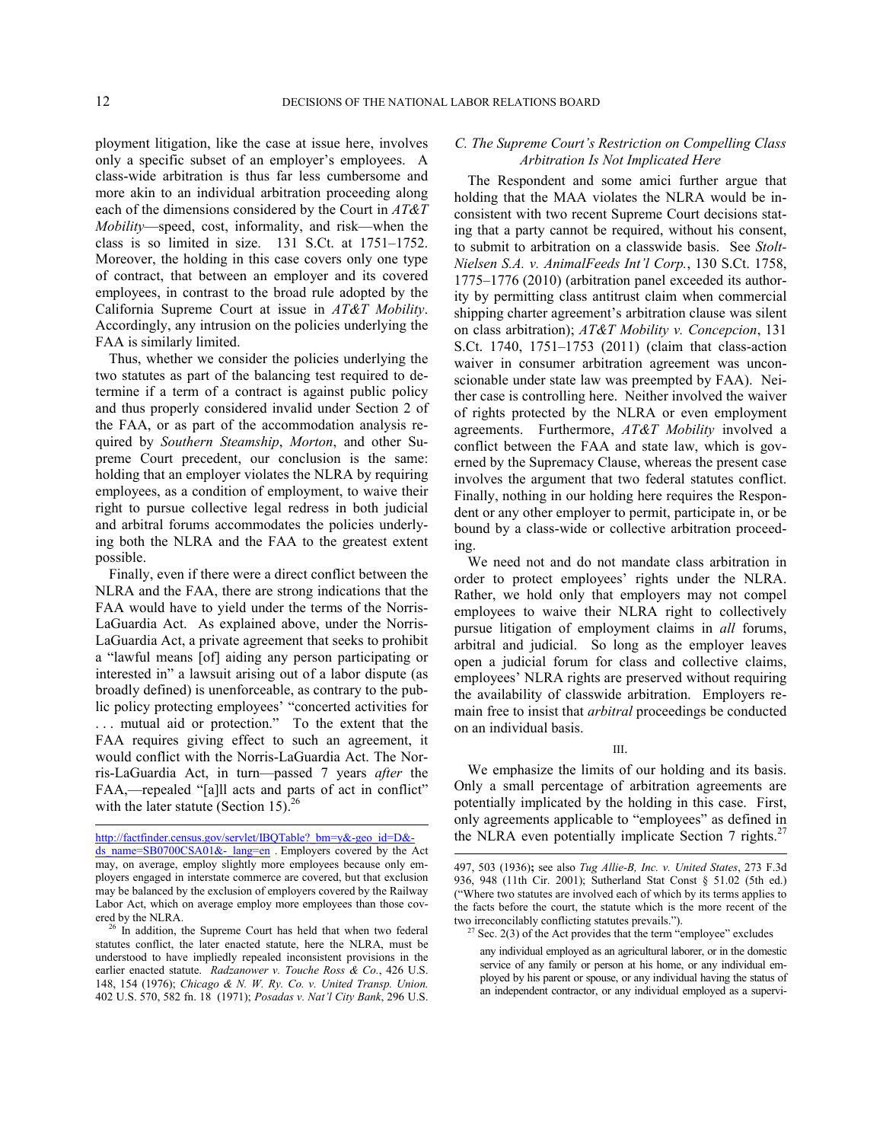l

ployment litigation, like the case at issue here, involves only a specific subset of an employer's employees. A class-wide arbitration is thus far less cumbersome and more akin to an individual arbitration proceeding along each of the dimensions considered by the Court in *AT&T Mobility*—speed, cost, informality, and risk—when the class is so limited in size. 131 S.Ct. at 1751–1752. Moreover, the holding in this case covers only one type of contract, that between an employer and its covered employees, in contrast to the broad rule adopted by the California Supreme Court at issue in *AT&T Mobility*. Accordingly, any intrusion on the policies underlying the FAA is similarly limited.

Thus, whether we consider the policies underlying the two statutes as part of the balancing test required to determine if a term of a contract is against public policy and thus properly considered invalid under Section 2 of the FAA, or as part of the accommodation analysis required by *Southern Steamship*, *Morton*, and other Supreme Court precedent, our conclusion is the same: holding that an employer violates the NLRA by requiring employees, as a condition of employment, to waive their right to pursue collective legal redress in both judicial and arbitral forums accommodates the policies underlying both the NLRA and the FAA to the greatest extent possible.

Finally, even if there were a direct conflict between the NLRA and the FAA, there are strong indications that the FAA would have to yield under the terms of the Norris-LaGuardia Act. As explained above, under the Norris-LaGuardia Act, a private agreement that seeks to prohibit a "lawful means [of] aiding any person participating or interested in" a lawsuit arising out of a labor dispute (as broadly defined) is unenforceable, as contrary to the public policy protecting employees' "concerted activities for . . . mutual aid or protection." To the extent that the FAA requires giving effect to such an agreement, it would conflict with the Norris-LaGuardia Act. The Norris-LaGuardia Act, in turn—passed 7 years *after* the FAA,—repealed "[a]ll acts and parts of act in conflict" with the later statute (Section 15).<sup>[26](#page-11-0)</sup>

http://factfinder.census.gov/servlet/IBQTable?\_bm=y&-geo\_id=D&-

## *C. The Supreme Court's Restriction on Compelling Class Arbitration Is Not Implicated Here*

The Respondent and some amici further argue that holding that the MAA violates the NLRA would be inconsistent with two recent Supreme Court decisions stating that a party cannot be required, without his consent, to submit to arbitration on a classwide basis. See *Stolt-Nielsen S.A. v. AnimalFeeds Int'l Corp.*, 130 S.Ct. 1758, 1775–1776 (2010) (arbitration panel exceeded its authority by permitting class antitrust claim when commercial shipping charter agreement's arbitration clause was silent on class arbitration); *AT&T Mobility v. Concepcion*, 131 S.Ct. 1740, 1751–1753 (2011) (claim that class-action waiver in consumer arbitration agreement was unconscionable under state law was preempted by FAA). Neither case is controlling here. Neither involved the waiver of rights protected by the NLRA or even employment agreements. Furthermore, *AT&T Mobility* involved a conflict between the FAA and state law, which is governed by the Supremacy Clause, whereas the present case involves the argument that two federal statutes conflict. Finally, nothing in our holding here requires the Respondent or any other employer to permit, participate in, or be bound by a class-wide or collective arbitration proceeding.

We need not and do not mandate class arbitration in order to protect employees' rights under the NLRA. Rather, we hold only that employers may not compel employees to waive their NLRA right to collectively pursue litigation of employment claims in *all* forums, arbitral and judicial. So long as the employer leaves open a judicial forum for class and collective claims, employees' NLRA rights are preserved without requiring the availability of classwide arbitration. Employers remain free to insist that *arbitral* proceedings be conducted on an individual basis.

We emphasize the limits of our holding and its basis. Only a small percentage of arbitration agreements are potentially implicated by the holding in this case. First, only agreements applicable to "employees" as defined in the NLRA even potentially implicate Section 7 rights. $27$ 

 $ds$  name=SB0700CSA01&- lang=en . Employers covered by the Act may, on average, employ slightly more employees because only employers engaged in interstate commerce are covered, but that exclusion may be balanced by the exclusion of employers covered by the Railway Labor Act, which on average employ more employees than those covered by the NLRA.

<span id="page-11-1"></span><span id="page-11-0"></span><sup>&</sup>lt;sup>26</sup> In addition, the Supreme Court has held that when two federal statutes conflict, the later enacted statute, here the NLRA, must be understood to have impliedly repealed inconsistent provisions in the earlier enacted statute. *Radzanower v. Touche Ross & Co.*, 426 U.S. 148, 154 (1976); *Chicago & N. W. Ry. Co. v. United Transp. Union.* 402 U.S. 570, 582 fn. 18 (1971); *Posadas v. Nat'l City Bank*, 296 U.S.

III.

<sup>497, 503 (1936)</sup>**;** see also *Tug Allie-B, Inc. v. United States*, 273 F.3d 936, 948 (11th Cir. 2001); Sutherland Stat Const § 51.02 (5th ed.) ("Where two statutes are involved each of which by its terms applies to the facts before the court, the statute which is the more recent of the two irreconcilably conflicting statutes prevails.").

 $27$  Sec. 2(3) of the Act provides that the term "employee" excludes

any individual employed as an agricultural laborer, or in the domestic service of any family or person at his home, or any individual employed by his parent or spouse, or any individual having the status of an independent contractor, or any individual employed as a supervi-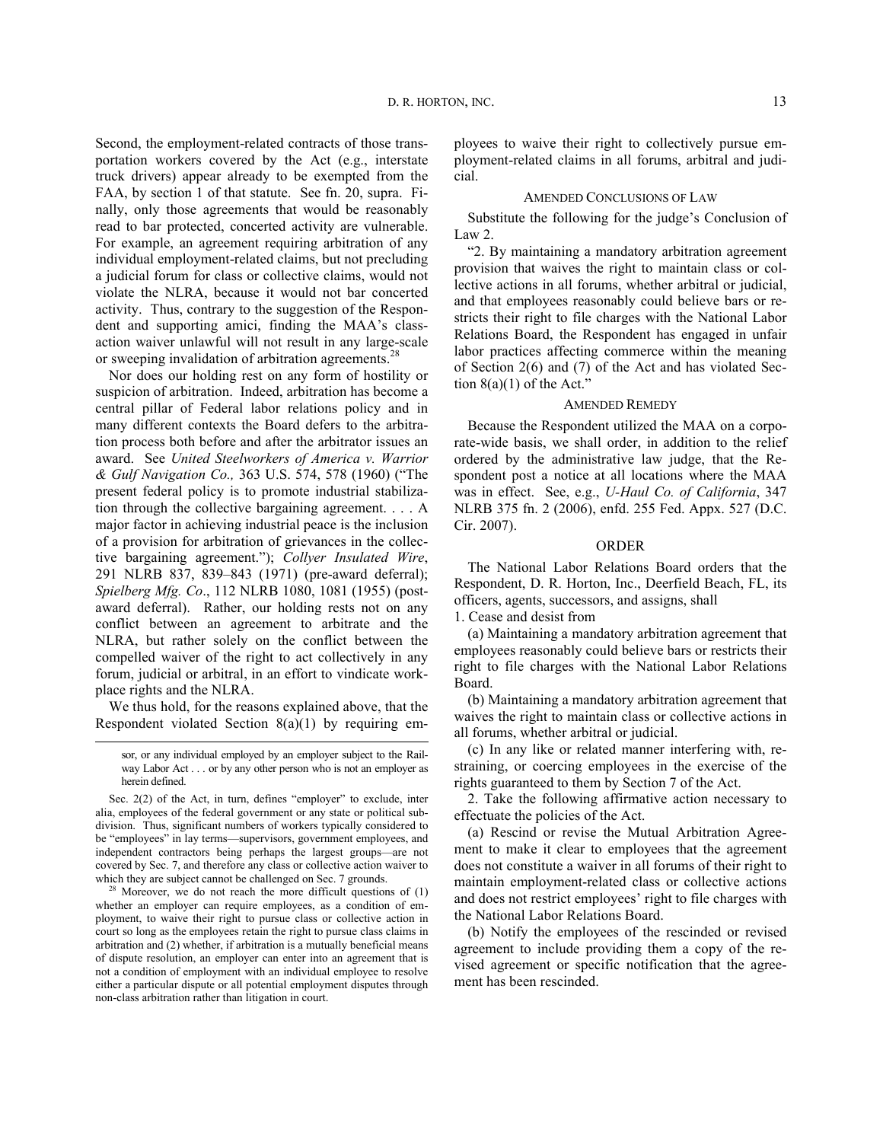Second, the employment-related contracts of those transportation workers covered by the Act (e.g., interstate truck drivers) appear already to be exempted from the FAA, by section 1 of that statute. See fn. 20, supra. Finally, only those agreements that would be reasonably read to bar protected, concerted activity are vulnerable. For example, an agreement requiring arbitration of any individual employment-related claims, but not precluding a judicial forum for class or collective claims, would not violate the NLRA, because it would not bar concerted activity. Thus, contrary to the suggestion of the Respondent and supporting amici, finding the MAA's classaction waiver unlawful will not result in any large-scale or sweeping invalidation of arbitration agreements.<sup>[28](#page-12-0)</sup>

Nor does our holding rest on any form of hostility or suspicion of arbitration. Indeed, arbitration has become a central pillar of Federal labor relations policy and in many different contexts the Board defers to the arbitration process both before and after the arbitrator issues an award. See *United Steelworkers of America v. Warrior & Gulf Navigation Co.,* 363 U.S. 574, 578 (1960) ("The present federal policy is to promote industrial stabilization through the collective bargaining agreement. . . . A major factor in achieving industrial peace is the inclusion of a provision for arbitration of grievances in the collective bargaining agreement."); *Collyer Insulated Wire*, 291 NLRB 837, 839–843 (1971) (pre-award deferral); *Spielberg Mfg. Co*., 112 NLRB 1080, 1081 (1955) (postaward deferral). Rather, our holding rests not on any conflict between an agreement to arbitrate and the NLRA, but rather solely on the conflict between the compelled waiver of the right to act collectively in any forum, judicial or arbitral, in an effort to vindicate workplace rights and the NLRA.

We thus hold, for the reasons explained above, that the Respondent violated Section 8(a)(1) by requiring em-

l

ployees to waive their right to collectively pursue employment-related claims in all forums, arbitral and judicial.

## AMENDED CONCLUSIONS OF LAW

Substitute the following for the judge's Conclusion of Law 2.

"2. By maintaining a mandatory arbitration agreement provision that waives the right to maintain class or collective actions in all forums, whether arbitral or judicial, and that employees reasonably could believe bars or restricts their right to file charges with the National Labor Relations Board, the Respondent has engaged in unfair labor practices affecting commerce within the meaning of Section 2(6) and (7) of the Act and has violated Section  $8(a)(1)$  of the Act."

## AMENDED REMEDY

Because the Respondent utilized the MAA on a corporate-wide basis, we shall order, in addition to the relief ordered by the administrative law judge, that the Respondent post a notice at all locations where the MAA was in effect. See, e.g., *U-Haul Co. of California*, 347 NLRB 375 fn. 2 (2006), enfd. 255 Fed. Appx. 527 (D.C. Cir. 2007).

# ORDER

The National Labor Relations Board orders that the Respondent, D. R. Horton, Inc., Deerfield Beach, FL, its officers, agents, successors, and assigns, shall

1. Cease and desist from

(a) Maintaining a mandatory arbitration agreement that employees reasonably could believe bars or restricts their right to file charges with the National Labor Relations Board.

(b) Maintaining a mandatory arbitration agreement that waives the right to maintain class or collective actions in all forums, whether arbitral or judicial.

(c) In any like or related manner interfering with, restraining, or coercing employees in the exercise of the rights guaranteed to them by Section 7 of the Act.

2. Take the following affirmative action necessary to effectuate the policies of the Act.

(a) Rescind or revise the Mutual Arbitration Agreement to make it clear to employees that the agreement does not constitute a waiver in all forums of their right to maintain employment-related class or collective actions and does not restrict employees' right to file charges with the National Labor Relations Board.

(b) Notify the employees of the rescinded or revised agreement to include providing them a copy of the revised agreement or specific notification that the agreement has been rescinded.

sor, or any individual employed by an employer subject to the Railway Labor Act . . . or by any other person who is not an employer as herein defined.

Sec. 2(2) of the Act, in turn, defines "employer" to exclude, inter alia, employees of the federal government or any state or political subdivision. Thus, significant numbers of workers typically considered to be "employees" in lay terms—supervisors, government employees, and independent contractors being perhaps the largest groups—are not covered by Sec. 7, and therefore any class or collective action waiver to which they are subject cannot be challenged on Sec. 7 grounds.

<span id="page-12-0"></span><sup>&</sup>lt;sup>28</sup> Moreover, we do not reach the more difficult questions of  $(1)$ whether an employer can require employees, as a condition of employment, to waive their right to pursue class or collective action in court so long as the employees retain the right to pursue class claims in arbitration and (2) whether, if arbitration is a mutually beneficial means of dispute resolution, an employer can enter into an agreement that is not a condition of employment with an individual employee to resolve either a particular dispute or all potential employment disputes through non-class arbitration rather than litigation in court.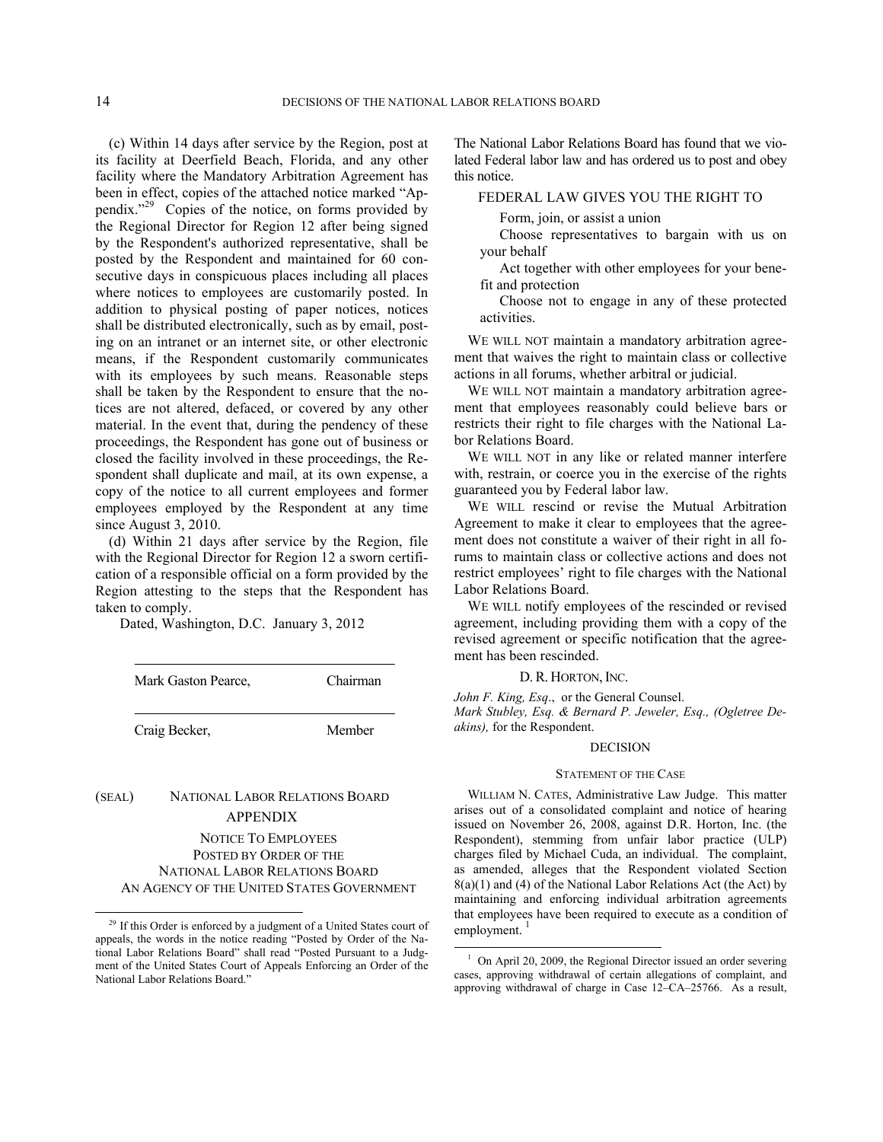(c) Within 14 days after service by the Region, post at its facility at Deerfield Beach, Florida, and any other facility where the Mandatory Arbitration Agreement has been in effect, copies of the attached notice marked "Appendix."[29](#page-13-0) Copies of the notice, on forms provided by the Regional Director for Region 12 after being signed by the Respondent's authorized representative, shall be posted by the Respondent and maintained for 60 consecutive days in conspicuous places including all places where notices to employees are customarily posted. In addition to physical posting of paper notices, notices shall be distributed electronically, such as by email, posting on an intranet or an internet site, or other electronic means, if the Respondent customarily communicates with its employees by such means. Reasonable steps shall be taken by the Respondent to ensure that the notices are not altered, defaced, or covered by any other material. In the event that, during the pendency of these proceedings, the Respondent has gone out of business or closed the facility involved in these proceedings, the Respondent shall duplicate and mail, at its own expense, a copy of the notice to all current employees and former employees employed by the Respondent at any time since August 3, 2010.

(d) Within 21 days after service by the Region, file with the Regional Director for Region 12 a sworn certification of a responsible official on a form provided by the Region attesting to the steps that the Respondent has taken to comply.

Dated, Washington, D.C. January 3, 2012

| Mark Gaston Pearce. | Chairman |
|---------------------|----------|
| Craig Becker,       | Member   |

# (SEAL) NATIONAL LABOR RELATIONS BOARD APPENDIX

-

# NOTICE TO EMPLOYEES POSTED BY ORDER OF THE NATIONAL LABOR RELATIONS BOARD AN AGENCY OF THE UNITED STATES GOVERNMENT

The National Labor Relations Board has found that we violated Federal labor law and has ordered us to post and obey this notice.

# FEDERAL LAW GIVES YOU THE RIGHT TO

Form, join, or assist a union

Choose representatives to bargain with us on your behalf

Act together with other employees for your benefit and protection

Choose not to engage in any of these protected activities.

WE WILL NOT maintain a mandatory arbitration agreement that waives the right to maintain class or collective actions in all forums, whether arbitral or judicial.

WE WILL NOT maintain a mandatory arbitration agreement that employees reasonably could believe bars or restricts their right to file charges with the National Labor Relations Board.

WE WILL NOT in any like or related manner interfere with, restrain, or coerce you in the exercise of the rights guaranteed you by Federal labor law.

WE WILL rescind or revise the Mutual Arbitration Agreement to make it clear to employees that the agreement does not constitute a waiver of their right in all forums to maintain class or collective actions and does not restrict employees' right to file charges with the National Labor Relations Board.

WE WILL notify employees of the rescinded or revised agreement, including providing them with a copy of the revised agreement or specific notification that the agreement has been rescinded.

### D. R. HORTON, INC.

*John F. King, Esq*., or the General Counsel.

l

*Mark Stubley, Esq. & Bernard P. Jeweler, Esq., (Ogletree Deakins),* for the Respondent.

## DECISION

### STATEMENT OF THE CASE

WILLIAM N. CATES, Administrative Law Judge. This matter arises out of a consolidated complaint and notice of hearing issued on November 26, 2008, against D.R. Horton, Inc. (the Respondent), stemming from unfair labor practice (ULP) charges filed by Michael Cuda, an individual. The complaint, as amended, alleges that the Respondent violated Section 8(a)(1) and (4) of the National Labor Relations Act (the Act) by maintaining and enforcing individual arbitration agreements that employees have been required to execute as a condition of employment.

<span id="page-13-1"></span><span id="page-13-0"></span><sup>&</sup>lt;sup>29</sup> If this Order is enforced by a judgment of a United States court of appeals, the words in the notice reading "Posted by Order of the National Labor Relations Board" shall read "Posted Pursuant to a Judgment of the United States Court of Appeals Enforcing an Order of the National Labor Relations Board."

<sup>&</sup>lt;sup>1</sup> On April 20, 2009, the Regional Director issued an order severing cases, approving withdrawal of certain allegations of complaint, and approving withdrawal of charge in Case 12–CA–25766. As a result,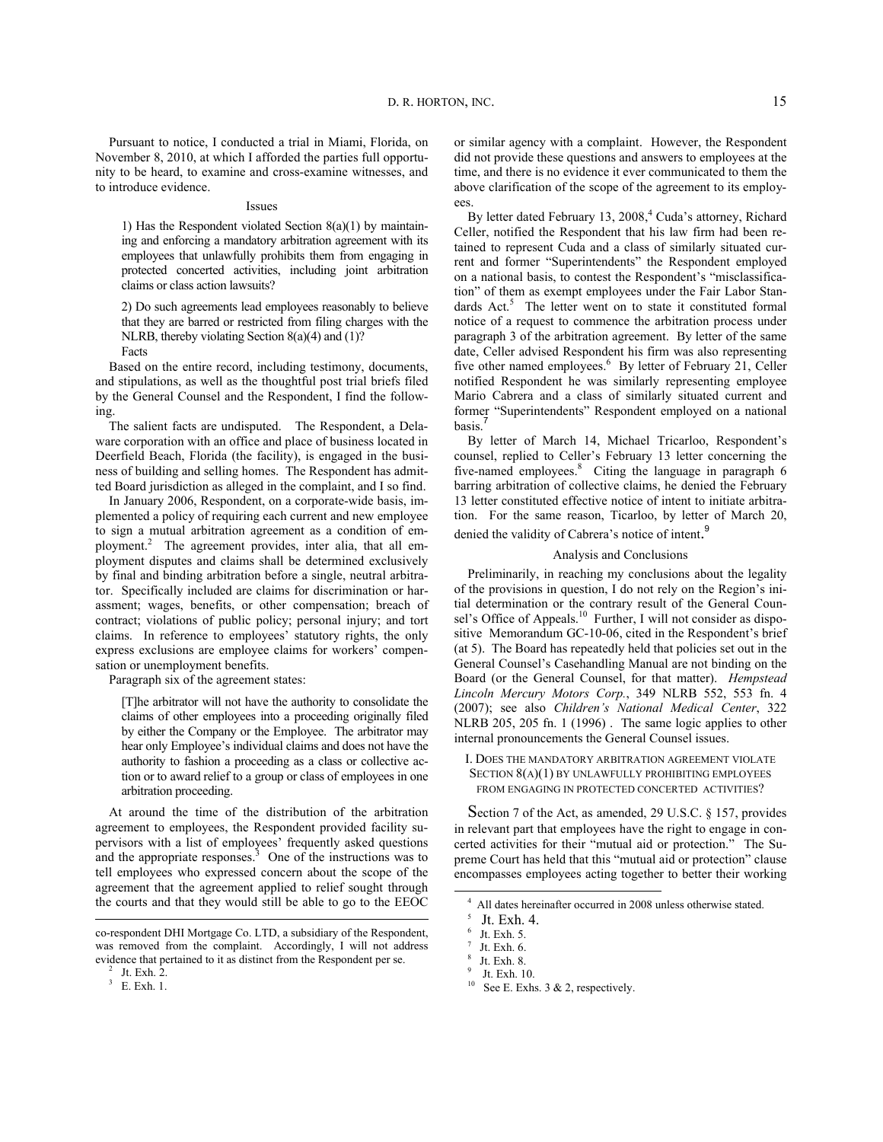Pursuant to notice, I conducted a trial in Miami, Florida, on November 8, 2010, at which I afforded the parties full opportunity to be heard, to examine and cross-examine witnesses, and to introduce evidence.

### Issues

1) Has the Respondent violated Section 8(a)(1) by maintaining and enforcing a mandatory arbitration agreement with its employees that unlawfully prohibits them from engaging in protected concerted activities, including joint arbitration claims or class action lawsuits?

2) Do such agreements lead employees reasonably to believe that they are barred or restricted from filing charges with the NLRB, thereby violating Section 8(a)(4) and (1)?

Facts

Based on the entire record, including testimony, documents, and stipulations, as well as the thoughtful post trial briefs filed by the General Counsel and the Respondent, I find the following.

The salient facts are undisputed. The Respondent, a Delaware corporation with an office and place of business located in Deerfield Beach, Florida (the facility), is engaged in the business of building and selling homes. The Respondent has admitted Board jurisdiction as alleged in the complaint, and I so find.

In January 2006, Respondent, on a corporate-wide basis, implemented a policy of requiring each current and new employee to sign a mutual arbitration agreement as a condition of em-ployment.<sup>2</sup>The agreement provides, inter alia, that all employment disputes and claims shall be determined exclusively by final and binding arbitration before a single, neutral arbitrator. Specifically included are claims for discrimination or harassment; wages, benefits, or other compensation; breach of contract; violations of public policy; personal injury; and tort claims. In reference to employees' statutory rights, the only express exclusions are employee claims for workers' compensation or unemployment benefits.

Paragraph six of the agreement states:

[T]he arbitrator will not have the authority to consolidate the claims of other employees into a proceeding originally filed by either the Company or the Employee. The arbitrator may hear only Employee's individual claims and does not have the authority to fashion a proceeding as a class or collective action or to award relief to a group or class of employees in one arbitration proceeding.

At around the time of the distribution of the arbitration agreement to employees, the Respondent provided facility supervisors with a list of employees' frequently asked questions andthe appropriate responses. $3$  One of the instructions was to tell employees who expressed concern about the scope of the agreement that the agreement applied to relief sought through the courts and that they would still be able to go to the EEOC

<span id="page-14-2"></span>l

2

or similar agency with a complaint. However, the Respondent did not provide these questions and answers to employees at the time, and there is no evidence it ever communicated to them the above clarification of the scope of the agreement to its employees.

By letter dated February 13, 2008,<sup>4</sup> [C](#page-14-2)uda's attorney, Richard Celler, notified the Respondent that his law firm had been retained to represent Cuda and a class of similarly situated current and former "Superintendents" the Respondent employed on a national basis, to contest the Respondent's "misclassification" of them as exempt employees under the Fair Labor Stan-dardsAct.<sup>5</sup> The letter went on to state it constituted formal notice of a request to commence the arbitration process under paragraph 3 of the arbitration agreement. By letter of the same date, Celler advised Respondent his firm was also representing fiveother named employees.<sup>6</sup> By letter of February 21, Celler notified Respondent he was similarly representing employee Mario Cabrera and a class of similarly situated current and former "Superintendents" Respondent employed on a national basis.

By letter of March 14, Michael Tricarloo, Respondent's counsel, replied to Celler's February 13 letter concerning the five-namedemployees.<sup>8</sup> Citing the language in paragraph 6 barring arbitration of collective claims, he denied the February 13 letter constituted effective notice of intent to initiate arbitration. For the same reason, Ticarloo, by letter of March 20, denied the validity of Cabrera's notice of intent[.](#page-14-7)<sup>9</sup>

### Analysis and Conclusions

Preliminarily, in reaching my conclusions about the legality of the provisions in question, I do not rely on the Region's initial determination or the contrary result of the General Coun-sel's Office of Appeals.<sup>[10](#page-14-8)</sup> Further, I will not consider as dispositive Memorandum GC-10-06, cited in the Respondent's brief (at 5). The Board has repeatedly held that policies set out in the General Counsel's Casehandling Manual are not binding on the Board (or the General Counsel, for that matter). *Hempstead Lincoln Mercury Motors Corp.*, 349 NLRB 552, 553 fn. 4 (2007); see also *Children's National Medical Center*, 322 NLRB 205, 205 fn. 1 (1996) . The same logic applies to other internal pronouncements the General Counsel issues.

I. DOES THE MANDATORY ARBITRATION AGREEMENT VIOLATE SECTION  $8(A)(1)$  BY UNLAWFULLY PROHIBITING EMPLOYEES FROM ENGAGING IN PROTECTED CONCERTED ACTIVITIES?

Section 7 of the Act, as amended, 29 U.S.C. § 157, provides in relevant part that employees have the right to engage in concerted activities for their "mutual aid or protection." The Supreme Court has held that this "mutual aid or protection" clause encompasses employees acting together to better their working

 $\overline{a}$ 

<span id="page-14-8"></span><span id="page-14-7"></span><span id="page-14-6"></span><span id="page-14-5"></span><span id="page-14-4"></span><span id="page-14-3"></span><span id="page-14-1"></span><span id="page-14-0"></span>co-respondent DHI Mortgage Co. LTD, a subsidiary of the Respondent, was removed from the complaint. Accordingly, I will not address evidence that pertained to it as distinct from the Respondent per se.

Jt. Exh. 2.

<sup>3</sup> E. Exh. 1.

<sup>4</sup> All dates hereinafter occurred in 2008 unless otherwise stated.

<sup>5</sup> Jt. Exh. 4.

<sup>6</sup> Jt. Exh. 5.

<sup>7</sup> Jt. Exh. 6.

<sup>8</sup> Jt. Exh. 8.

<sup>9</sup> Jt. Exh. 10.

<sup>&</sup>lt;sup>10</sup> See E. Exhs. 3 & 2, respectively.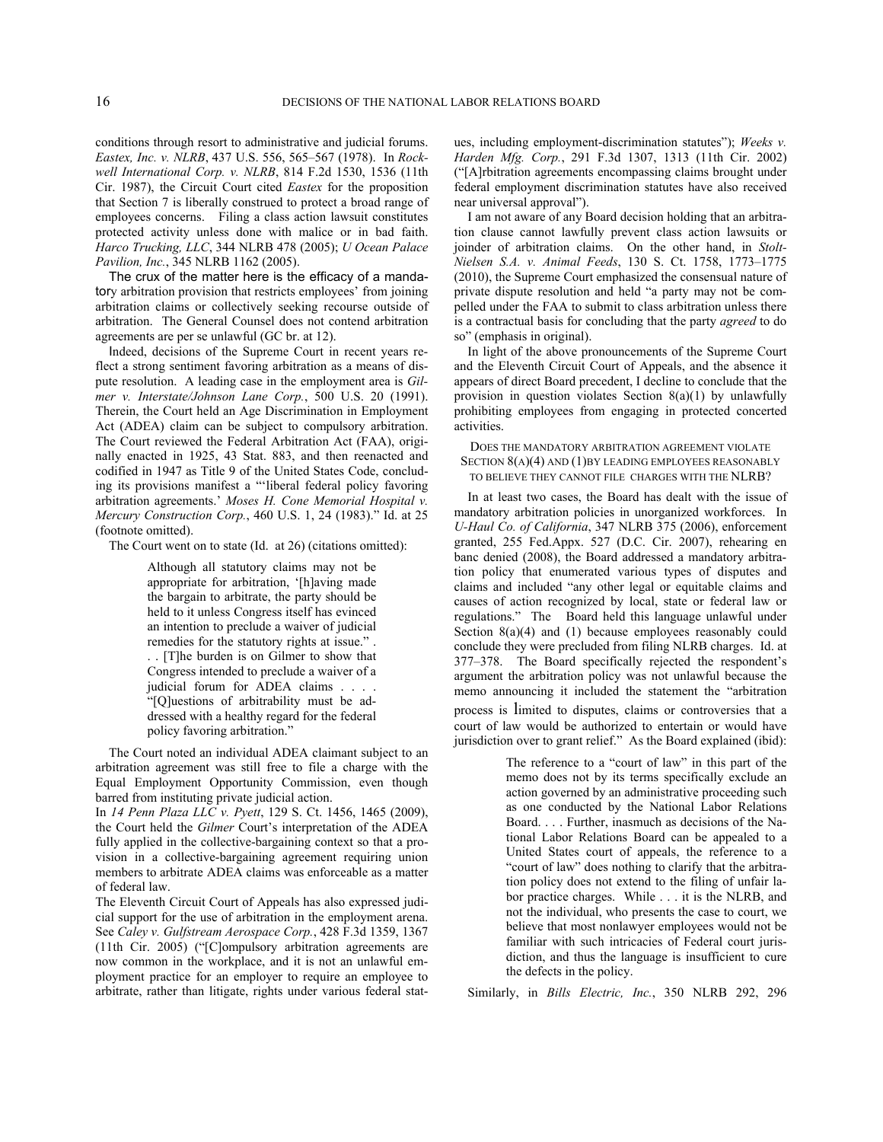conditions through resort to administrative and judicial forums. *Eastex, Inc. v. NLRB*, 437 U.S. 556, 565–567 (1978). In *Rockwell International Corp. v. NLRB*, 814 F.2d 1530, 1536 (11th Cir. 1987), the Circuit Court cited *Eastex* for the proposition that Section 7 is liberally construed to protect a broad range of employees concerns. Filing a class action lawsuit constitutes protected activity unless done with malice or in bad faith. *Harco Trucking, LLC*, 344 NLRB 478 (2005); *U Ocean Palace Pavilion, Inc.*, 345 NLRB 1162 (2005).

The crux of the matter here is the efficacy of a mandatory arbitration provision that restricts employees' from joining arbitration claims or collectively seeking recourse outside of arbitration. The General Counsel does not contend arbitration agreements are per se unlawful (GC br. at 12).

Indeed, decisions of the Supreme Court in recent years reflect a strong sentiment favoring arbitration as a means of dispute resolution. A leading case in the employment area is *Gilmer v. Interstate/Johnson Lane Corp.*, 500 U.S. 20 (1991). Therein, the Court held an Age Discrimination in Employment Act (ADEA) claim can be subject to compulsory arbitration. The Court reviewed the Federal Arbitration Act (FAA), originally enacted in 1925, 43 Stat. 883, and then reenacted and codified in 1947 as Title 9 of the United States Code, concluding its provisions manifest a "'liberal federal policy favoring arbitration agreements.' *Moses H. Cone Memorial Hospital v. Mercury Construction Corp.*, 460 U.S. 1, 24 (1983)." Id. at 25 (footnote omitted).

The Court went on to state (Id. at 26) (citations omitted):

Although all statutory claims may not be appropriate for arbitration, '[h]aving made the bargain to arbitrate, the party should be held to it unless Congress itself has evinced an intention to preclude a waiver of judicial remedies for the statutory rights at issue." .

. . [T]he burden is on Gilmer to show that Congress intended to preclude a waiver of a judicial forum for ADEA claims . . . . "[Q]uestions of arbitrability must be ad-

dressed with a healthy regard for the federal policy favoring arbitration."

The Court noted an individual ADEA claimant subject to an arbitration agreement was still free to file a charge with the Equal Employment Opportunity Commission, even though barred from instituting private judicial action.

In *14 Penn Plaza LLC v. Pyett*, 129 S. Ct. 1456, 1465 (2009), the Court held the *Gilmer* Court's interpretation of the ADEA fully applied in the collective-bargaining context so that a provision in a collective-bargaining agreement requiring union members to arbitrate ADEA claims was enforceable as a matter of federal law.

The Eleventh Circuit Court of Appeals has also expressed judicial support for the use of arbitration in the employment arena. See *Caley v. Gulfstream Aerospace Corp.*, 428 F.3d 1359, 1367 (11th Cir. 2005) ("[C]ompulsory arbitration agreements are now common in the workplace, and it is not an unlawful employment practice for an employer to require an employee to arbitrate, rather than litigate, rights under various federal statues, including employment-discrimination statutes"); *Weeks v. Harden Mfg. Corp.*, 291 F.3d 1307, 1313 (11th Cir. 2002) ("[A]rbitration agreements encompassing claims brought under federal employment discrimination statutes have also received near universal approval").

I am not aware of any Board decision holding that an arbitration clause cannot lawfully prevent class action lawsuits or joinder of arbitration claims. On the other hand, in *Stolt-Nielsen S.A. v. Animal Feeds*, 130 S. Ct. 1758, 1773–1775 (2010), the Supreme Court emphasized the consensual nature of private dispute resolution and held "a party may not be compelled under the FAA to submit to class arbitration unless there is a contractual basis for concluding that the party *agreed* to do so" (emphasis in original).

In light of the above pronouncements of the Supreme Court and the Eleventh Circuit Court of Appeals, and the absence it appears of direct Board precedent, I decline to conclude that the provision in question violates Section 8(a)(1) by unlawfully prohibiting employees from engaging in protected concerted activities.

## DOES THE MANDATORY ARBITRATION AGREEMENT VIOLATE SECTION  $8(A)(4)$  AND  $(1)$ BY LEADING EMPLOYEES REASONABLY TO BELIEVE THEY CANNOT FILE CHARGES WITH THE NLRB?

In at least two cases, the Board has dealt with the issue of mandatory arbitration policies in unorganized workforces. In *U-Haul Co. of California*, 347 NLRB 375 (2006), enforcement granted, 255 Fed.Appx. 527 (D.C. Cir. 2007), rehearing en banc denied (2008), the Board addressed a mandatory arbitration policy that enumerated various types of disputes and claims and included "any other legal or equitable claims and causes of action recognized by local, state or federal law or regulations." The Board held this language unlawful under Section 8(a)(4) and (1) because employees reasonably could conclude they were precluded from filing NLRB charges. Id. at 377–378. The Board specifically rejected the respondent's argument the arbitration policy was not unlawful because the memo announcing it included the statement the "arbitration process is limited to disputes, claims or controversies that a court of law would be authorized to entertain or would have jurisdiction over to grant relief." As the Board explained (ibid):

> The reference to a "court of law" in this part of the memo does not by its terms specifically exclude an action governed by an administrative proceeding such as one conducted by the National Labor Relations Board. . . . Further, inasmuch as decisions of the National Labor Relations Board can be appealed to a United States court of appeals, the reference to a "court of law" does nothing to clarify that the arbitration policy does not extend to the filing of unfair labor practice charges. While . . . it is the NLRB, and not the individual, who presents the case to court, we believe that most nonlawyer employees would not be familiar with such intricacies of Federal court jurisdiction, and thus the language is insufficient to cure the defects in the policy.

Similarly, in *Bills Electric, Inc.*, 350 NLRB 292, 296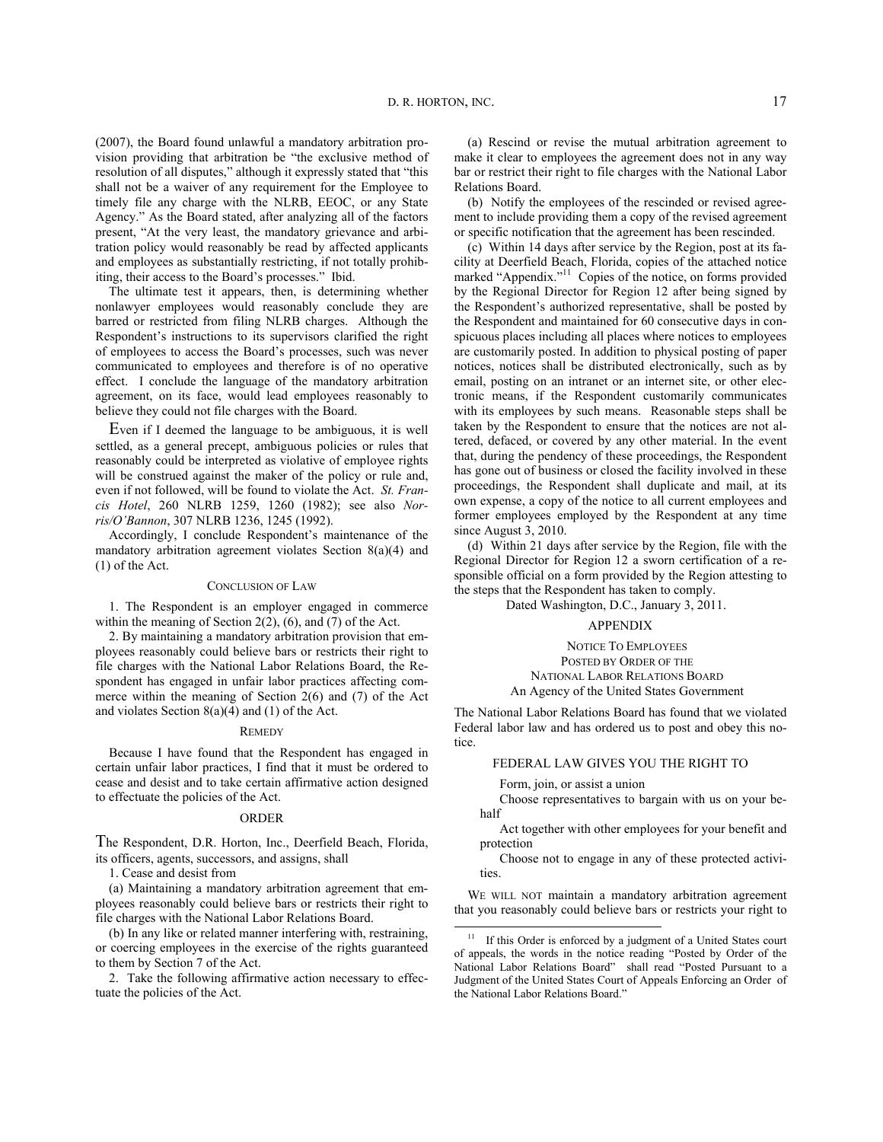(2007), the Board found unlawful a mandatory arbitration provision providing that arbitration be "the exclusive method of resolution of all disputes," although it expressly stated that "this shall not be a waiver of any requirement for the Employee to timely file any charge with the NLRB, EEOC, or any State Agency." As the Board stated, after analyzing all of the factors present, "At the very least, the mandatory grievance and arbitration policy would reasonably be read by affected applicants and employees as substantially restricting, if not totally prohibiting, their access to the Board's processes." Ibid.

The ultimate test it appears, then, is determining whether nonlawyer employees would reasonably conclude they are barred or restricted from filing NLRB charges. Although the Respondent's instructions to its supervisors clarified the right of employees to access the Board's processes, such was never communicated to employees and therefore is of no operative effect. I conclude the language of the mandatory arbitration agreement, on its face, would lead employees reasonably to believe they could not file charges with the Board.

Even if I deemed the language to be ambiguous, it is well settled, as a general precept, ambiguous policies or rules that reasonably could be interpreted as violative of employee rights will be construed against the maker of the policy or rule and, even if not followed, will be found to violate the Act. *St. Francis Hotel*, 260 NLRB 1259, 1260 (1982); see also *Norris/O'Bannon*, 307 NLRB 1236, 1245 (1992).

Accordingly, I conclude Respondent's maintenance of the mandatory arbitration agreement violates Section 8(a)(4) and (1) of the Act.

### CONCLUSION OF LAW

1. The Respondent is an employer engaged in commerce within the meaning of Section 2(2), (6), and (7) of the Act.

2. By maintaining a mandatory arbitration provision that employees reasonably could believe bars or restricts their right to file charges with the National Labor Relations Board, the Respondent has engaged in unfair labor practices affecting commerce within the meaning of Section 2(6) and (7) of the Act and violates Section 8(a)(4) and (1) of the Act.

### **REMEDY**

Because I have found that the Respondent has engaged in certain unfair labor practices, I find that it must be ordered to cease and desist and to take certain affirmative action designed to effectuate the policies of the Act.

### ORDER

The Respondent, D.R. Horton, Inc., Deerfield Beach, Florida, its officers, agents, successors, and assigns, shall

1. Cease and desist from

(a) Maintaining a mandatory arbitration agreement that employees reasonably could believe bars or restricts their right to file charges with the National Labor Relations Board.

<span id="page-16-0"></span>(b) In any like or related manner interfering with, restraining, or coercing employees in the exercise of the rights guaranteed to them by Section 7 of the Act.

2. Take the following affirmative action necessary to effectuate the policies of the Act.

(a) Rescind or revise the mutual arbitration agreement to make it clear to employees the agreement does not in any way bar or restrict their right to file charges with the National Labor Relations Board.

(b) Notify the employees of the rescinded or revised agreement to include providing them a copy of the revised agreement or specific notification that the agreement has been rescinded.

(c) Within 14 days after service by the Region, post at its facility at Deerfield Beach, Florida, copies of the attached notice marked "Appendix."<sup>[11](#page-16-0)</sup> Copies of the notice, on forms provided by the Regional Director for Region 12 after being signed by the Respondent's authorized representative, shall be posted by the Respondent and maintained for 60 consecutive days in conspicuous places including all places where notices to employees are customarily posted. In addition to physical posting of paper notices, notices shall be distributed electronically, such as by email, posting on an intranet or an internet site, or other electronic means, if the Respondent customarily communicates with its employees by such means. Reasonable steps shall be taken by the Respondent to ensure that the notices are not altered, defaced, or covered by any other material. In the event that, during the pendency of these proceedings, the Respondent has gone out of business or closed the facility involved in these proceedings, the Respondent shall duplicate and mail, at its own expense, a copy of the notice to all current employees and former employees employed by the Respondent at any time since August 3, 2010.

(d) Within 21 days after service by the Region, file with the Regional Director for Region 12 a sworn certification of a responsible official on a form provided by the Region attesting to the steps that the Respondent has taken to comply.

Dated Washington, D.C., January 3, 2011.

## APPENDIX

NOTICE TO EMPLOYEES POSTED BY ORDER OF THE NATIONAL LABOR RELATIONS BOARD An Agency of the United States Government

The National Labor Relations Board has found that we violated Federal labor law and has ordered us to post and obey this notice.

FEDERAL LAW GIVES YOU THE RIGHT TO

Form, join, or assist a union

l

Choose representatives to bargain with us on your behalf

Act together with other employees for your benefit and protection

Choose not to engage in any of these protected activities.

WE WILL NOT maintain a mandatory arbitration agreement that you reasonably could believe bars or restricts your right to

<sup>&</sup>lt;sup>11</sup> If this Order is enforced by a judgment of a United States court of appeals, the words in the notice reading "Posted by Order of the National Labor Relations Board" shall read "Posted Pursuant to a Judgment of the United States Court of Appeals Enforcing an Order of the National Labor Relations Board."